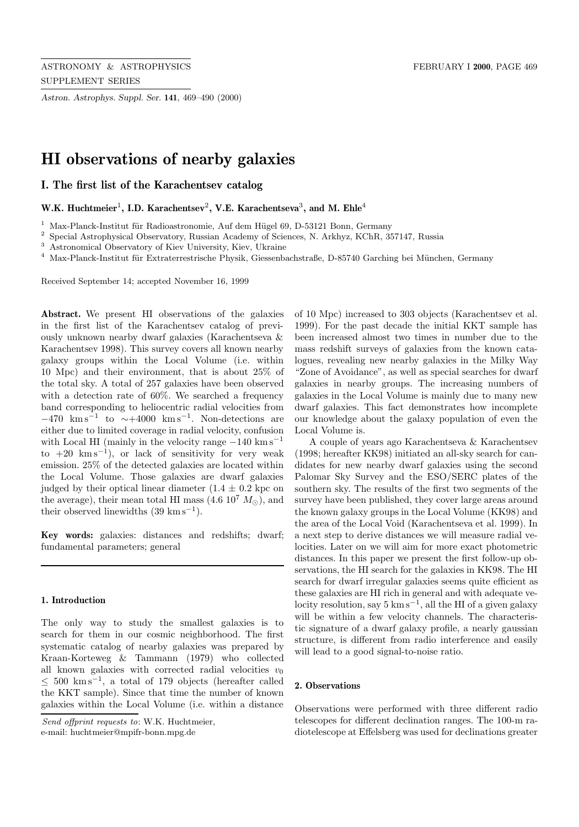*Astron. Astrophys. Suppl. Ser.* **141**, 469–490 (2000)

# **HI observations of nearby galaxies**

**I. The first list of the Karachentsev catalog**

# **W.K. Huchtmeier**<sup>1</sup>**, I.D. Karachentsev**<sup>2</sup>**, V.E. Karachentseva**<sup>3</sup>**, and M. Ehle**<sup>4</sup>

 $1$  Max-Planck-Institut für Radioastronomie, Auf dem Hügel 69, D-53121 Bonn, Germany

<sup>2</sup> Special Astrophysical Observatory, Russian Academy of Sciences, N. Arkhyz, KChR, 357147, Russia

<sup>3</sup> Astronomical Observatory of Kiev University, Kiev, Ukraine

<sup>4</sup> Max-Planck-Institut für Extraterrestrische Physik, Giessenbachstraße, D-85740 Garching bei München, Germany

Received September 14; accepted November 16, 1999

**Abstract.** We present HI observations of the galaxies in the first list of the Karachentsev catalog of previously unknown nearby dwarf galaxies (Karachentseva & Karachentsev 1998). This survey covers all known nearby galaxy groups within the Local Volume (i.e. within 10 Mpc) and their environment, that is about 25% of the total sky. A total of 257 galaxies have been observed with a detection rate of 60%. We searched a frequency band corresponding to heliocentric radial velocities from  $-470 \ \mathrm{km \, s^{-1}}$  to  $\sim +4000 \ \mathrm{km \, s^{-1}}$ . Non-detections are either due to limited coverage in radial velocity, confusion with Local HI (mainly in the velocity range  $-140 \text{ km s}^{-1}$ to  $+20 \ \mathrm{km \, s^{-1}}$ , or lack of sensitivity for very weak emission. 25% of the detected galaxies are located within the Local Volume. Those galaxies are dwarf galaxies judged by their optical linear diameter  $(1.4 \pm 0.2 \text{ kpc})$ the average), their mean total HI mass  $(4.6 \ 10^7 \ M_{\odot})$ , and their observed linewidths  $(39 \text{ km s}^{-1})$ .

**Key words:** galaxies: distances and redshifts; dwarf; fundamental parameters; general

### **1. Introduction**

The only way to study the smallest galaxies is to search for them in our cosmic neighborhood. The first systematic catalog of nearby galaxies was prepared by Kraan-Korteweg & Tammann (1979) who collected all known galaxies with corrected radial velocities  $v_0$  $≤ 500 \text{ km s}^{-1}$ , a total of 179 objects (hereafter called the KKT sample). Since that time the number of known galaxies within the Local Volume (i.e. within a distance

e-mail: huchtmeier@mpifr-bonn.mpg.de

of 10 Mpc) increased to 303 objects (Karachentsev et al. 1999). For the past decade the initial KKT sample has been increased almost two times in number due to the mass redshift surveys of galaxies from the known catalogues, revealing new nearby galaxies in the Milky Way "Zone of Avoidance", as well as special searches for dwarf galaxies in nearby groups. The increasing numbers of galaxies in the Local Volume is mainly due to many new dwarf galaxies. This fact demonstrates how incomplete our knowledge about the galaxy population of even the Local Volume is.

A couple of years ago Karachentseva & Karachentsev (1998; hereafter KK98) initiated an all-sky search for candidates for new nearby dwarf galaxies using the second Palomar Sky Survey and the ESO/SERC plates of the southern sky. The results of the first two segments of the survey have been published, they cover large areas around the known galaxy groups in the Local Volume (KK98) and the area of the Local Void (Karachentseva et al. 1999). In a next step to derive distances we will measure radial velocities. Later on we will aim for more exact photometric distances. In this paper we present the first follow-up observations, the HI search for the galaxies in KK98. The HI search for dwarf irregular galaxies seems quite efficient as these galaxies are HI rich in general and with adequate velocity resolution, say  $5 \text{ km s}^{-1}$ , all the HI of a given galaxy will be within a few velocity channels. The characteristic signature of a dwarf galaxy profile, a nearly gaussian structure, is different from radio interference and easily will lead to a good signal-to-noise ratio.

#### **2. Observations**

Observations were performed with three different radio telescopes for different declination ranges. The 100-m radiotelescope at Effelsberg was used for declinations greater

Send offprint requests to: W.K. Huchtmeier,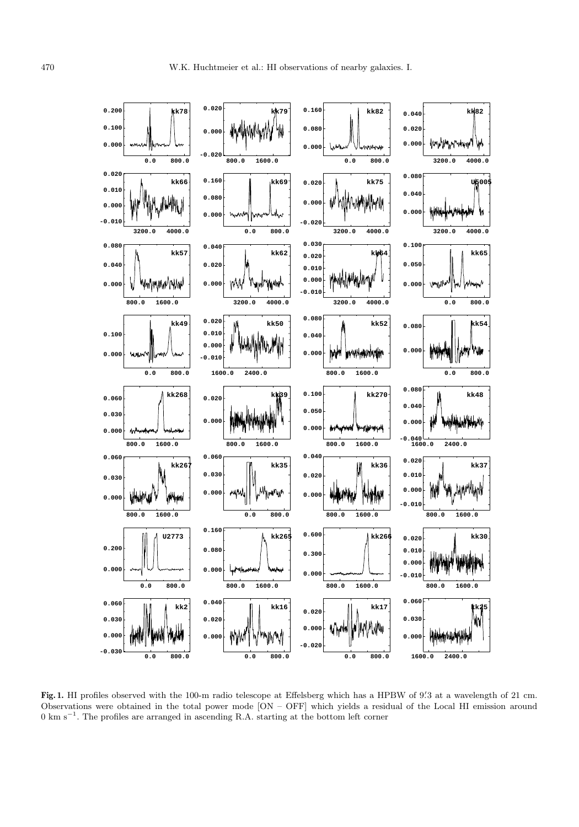

**Fig. 1.** HI profiles observed with the 100-m radio telescope at Effelsberg which has a HPBW of 9. 3 at a wavelength of 21 cm. Observations were obtained in the total power mode [ON – OFF] which yields a residual of the Local HI emission around 0 km s−<sup>1</sup>. The profiles are arranged in ascending R.A. starting at the bottom left corner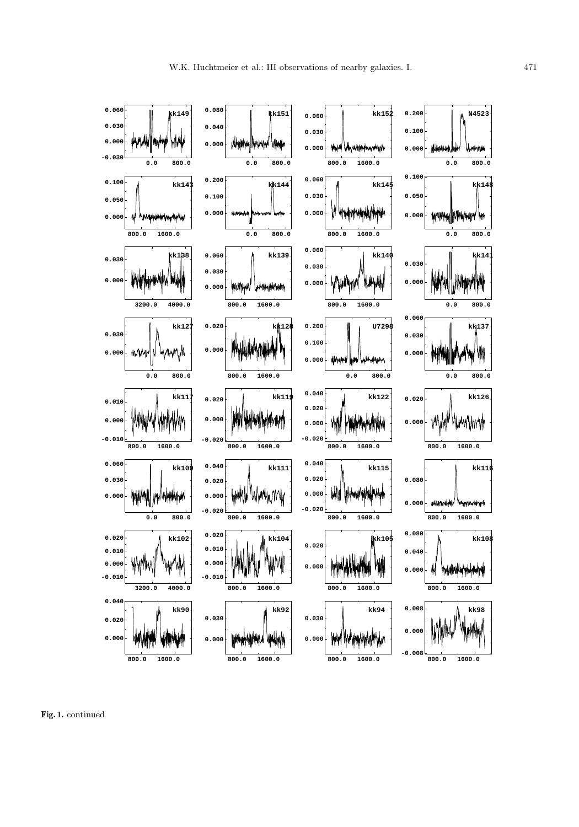

**Fig. 1.** continued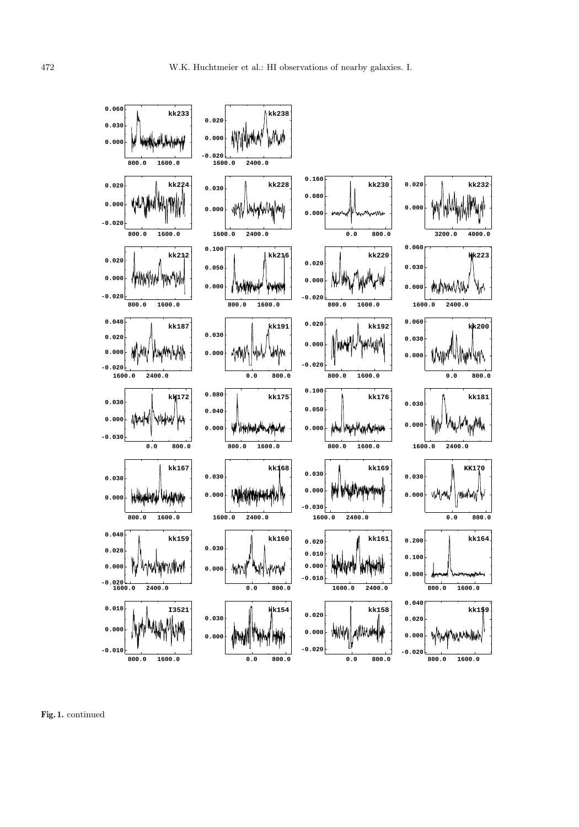

**Fig. 1.** continued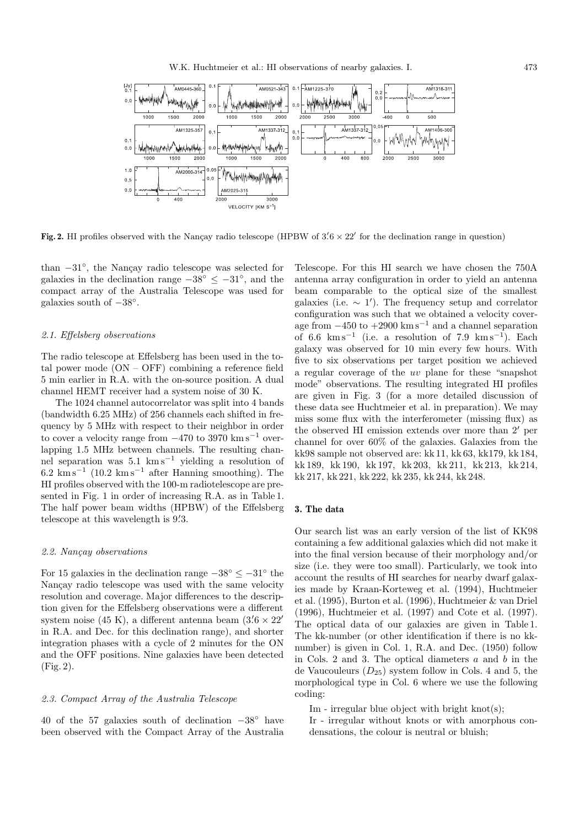

Fig. 2. HI profiles observed with the Nançay radio telescope (HPBW of  $3.6 \times 22'$  for the declination range in question)

than  $-31°$ , the Nancay radio telescope was selected for galaxies in the declination range  $-38° \le -31°$ , and the compact array of the Australia Telescope was used for galaxies south of  $-38^\circ$ .

#### 2.1. Effelsberg observations

The radio telescope at Effelsberg has been used in the total power mode (ON – OFF) combining a reference field 5 min earlier in R.A. with the on-source position. A dual channel HEMT receiver had a system noise of 30 K.

The 1024 channel autocorrelator was split into 4 bands (bandwidth 6.25 MHz) of 256 channels each shifted in frequency by 5 MHz with respect to their neighbor in order to cover a velocity range from  $-470$  to 3970 km s<sup>-1</sup> overlapping 1.5 MHz between channels. The resulting channel separation was 5.1 km s−<sup>1</sup> yielding a resolution of  $6.2 \text{ km s}^{-1}$  (10.2 km s<sup>-1</sup> after Hanning smoothing). The HI profiles observed with the 100-m radiotelescope are presented in Fig. 1 in order of increasing R.A. as in Table 1. The half power beam widths (HPBW) of the Effelsberg telescope at this wavelength is  $9\rlap{.}^{\prime}3$ .

## 2.2. Nançay observations

For 15 galaxies in the declination range  $-38° \le -31°$  the Nancay radio telescope was used with the same velocity resolution and coverage. Major differences to the description given for the Effelsberg observations were a different system noise (45 K), a different antenna beam  $(3.6 \times 22'$ in R.A. and Dec. for this declination range), and shorter integration phases with a cycle of 2 minutes for the ON and the OFF positions. Nine galaxies have been detected (Fig. 2).

#### 2.3. Compact Array of the Australia Telescope

40 of the 57 galaxies south of declination −38◦ have been observed with the Compact Array of the Australia

Telescope. For this HI search we have chosen the 750A antenna array configuration in order to yield an antenna beam comparable to the optical size of the smallest galaxies (i.e.  $\sim 1'$ ). The frequency setup and correlator configuration was such that we obtained a velocity coverage from  $-450$  to  $+2900$  km s<sup>-1</sup> and a channel separation of 6.6 km s<sup>−1</sup> (i.e. a resolution of 7.9 km s<sup>−1</sup>). Each galaxy was observed for 10 min every few hours. With five to six observations per target position we achieved a regular coverage of the uv plane for these "snapshot mode" observations. The resulting integrated HI profiles are given in Fig. 3 (for a more detailed discussion of these data see Huchtmeier et al. in preparation). We may miss some flux with the interferometer (missing flux) as the observed HI emission extends over more than  $2'$  per channel for over 60% of the galaxies. Galaxies from the kk98 sample not observed are: kk 11, kk 63, kk179, kk 184, kk 189, kk 190, kk 197, kk 203, kk 211, kk 213, kk 214, kk 217, kk 221, kk 222, kk 235, kk 244, kk 248.

#### **3. The data**

Our search list was an early version of the list of KK98 containing a few additional galaxies which did not make it into the final version because of their morphology and/or size (i.e. they were too small). Particularly, we took into account the results of HI searches for nearby dwarf galaxies made by Kraan-Korteweg et al. (1994), Huchtmeier et al. (1995), Burton et al. (1996), Huchtmeier & van Driel (1996), Huchtmeier et al. (1997) and Cote et al. (1997). The optical data of our galaxies are given in Table 1. The kk-number (or other identification if there is no kknumber) is given in Col. 1, R.A. and Dec. (1950) follow in Cols. 2 and 3. The optical diameters  $a$  and  $b$  in the de Vaucouleurs  $(D_{25})$  system follow in Cols. 4 and 5, the morphological type in Col. 6 where we use the following coding:

Im - irregular blue object with bright knot(s);

Ir - irregular without knots or with amorphous condensations, the colour is neutral or bluish;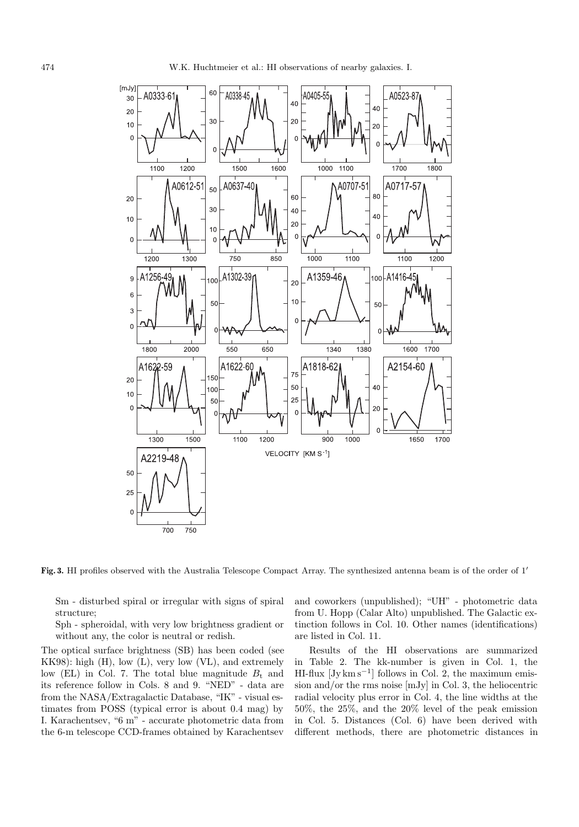

Fig. 3. HI profiles observed with the Australia Telescope Compact Array. The synthesized antenna beam is of the order of 1'

Sm - disturbed spiral or irregular with signs of spiral structure;

Sph - spheroidal, with very low brightness gradient or without any, the color is neutral or redish.

The optical surface brightness (SB) has been coded (see KK98): high (H), low (L), very low (VL), and extremely low (EL) in Col. 7. The total blue magnitude  $B_t$  and its reference follow in Cols. 8 and 9. "NED" - data are from the NASA/Extragalactic Database, "IK" - visual estimates from POSS (typical error is about 0.4 mag) by I. Karachentsev, "6 m" - accurate photometric data from the 6-m telescope CCD-frames obtained by Karachentsev

and coworkers (unpublished); "UH" - photometric data from U. Hopp (Calar Alto) unpublished. The Galactic extinction follows in Col. 10. Other names (identifications) are listed in Col. 11.

Results of the HI observations are summarized in Table 2. The kk-number is given in Col. 1, the HI-flux  $[Jy \text{ km s}^{-1}]$  follows in Col. 2, the maximum emission and/or the rms noise [mJy] in Col. 3, the heliocentric radial velocity plus error in Col. 4, the line widths at the 50%, the 25%, and the 20% level of the peak emission in Col. 5. Distances (Col. 6) have been derived with different methods, there are photometric distances in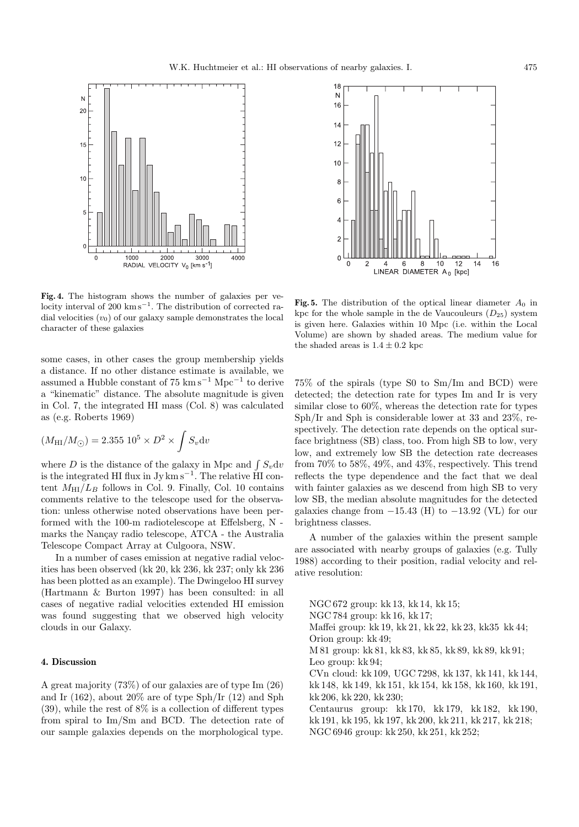

**Fig. 4.** The histogram shows the number of galaxies per velocity interval of 200 km s<sup> $-1$ </sup>. The distribution of corrected radial velocities  $(v_0)$  of our galaxy sample demonstrates the local character of these galaxies

some cases, in other cases the group membership yields a distance. If no other distance estimate is available, we assumed a Hubble constant of  $75 \text{ km s}^{-1} \text{ Mpc}^{-1}$  to derive a "kinematic" distance. The absolute magnitude is given in Col. 7, the integrated HI mass (Col. 8) was calculated as (e.g. Roberts 1969)

$$
(M_{\rm HI}/M_{\odot}) = 2.355~10^5 \times D^2 \times \int S_v \mathrm{d}v
$$

where D is the distance of the galaxy in Mpc and  $\int S_v dv$ is the integrated HI flux in  $Jy \, \text{km s}^{-1}$ . The relative HI content  $M_{\text{HI}}/L_B$  follows in Col. 9. Finally, Col. 10 contains comments relative to the telescope used for the observation: unless otherwise noted observations have been performed with the 100-m radiotelescope at Effelsberg, N marks the Nançay radio telescope, ATCA - the Australia Telescope Compact Array at Culgoora, NSW.

In a number of cases emission at negative radial velocities has been observed (kk 20, kk 236, kk 237; only kk 236 has been plotted as an example). The Dwingeloo HI survey (Hartmann & Burton 1997) has been consulted: in all cases of negative radial velocities extended HI emission was found suggesting that we observed high velocity clouds in our Galaxy.

# **4. Discussion**

A great majority (73%) of our galaxies are of type Im (26) and Ir (162), about 20% are of type Sph/Ir (12) and Sph (39), while the rest of 8% is a collection of different types from spiral to Im/Sm and BCD. The detection rate of our sample galaxies depends on the morphological type.



**Fig. 5.** The distribution of the optical linear diameter  $A_0$  in kpc for the whole sample in the de Vaucouleurs  $(D_{25})$  system is given here. Galaxies within 10 Mpc (i.e. within the Local Volume) are shown by shaded areas. The medium value for the shaded areas is  $1.4\pm0.2$  kpc

75% of the spirals (type S0 to Sm/Im and BCD) were detected; the detection rate for types Im and Ir is very similar close to 60%, whereas the detection rate for types Sph/Ir and Sph is considerable lower at 33 and 23%, respectively. The detection rate depends on the optical surface brightness (SB) class, too. From high SB to low, very low, and extremely low SB the detection rate decreases from 70% to 58%, 49%, and 43%, respectively. This trend reflects the type dependence and the fact that we deal with fainter galaxies as we descend from high SB to very low SB, the median absolute magnitudes for the detected galaxies change from  $-15.43$  (H) to  $-13.92$  (VL) for our brightness classes.

A number of the galaxies within the present sample are associated with nearby groups of galaxies (e.g. Tully 1988) according to their position, radial velocity and relative resolution:

NGC 672 group: kk 13, kk 14, kk 15; NGC 784 group: kk 16, kk 17; Maffei group: kk 19, kk 21, kk 22, kk 23, kk35 kk 44; Orion group: kk 49; M 81 group: kk 81, kk 83, kk 85, kk 89, kk 89, kk 91; Leo group: kk 94; CVn cloud: kk 109, UGC 7298, kk 137, kk 141, kk 144, kk 148, kk 149, kk 151, kk 154, kk 158, kk 160, kk 191, kk 206, kk 220, kk 230; Centaurus group: kk 170, kk 179, kk 182, kk 190, kk 191, kk 195, kk 197, kk 200, kk 211, kk 217, kk 218; NGC 6946 group: kk 250, kk 251, kk 252;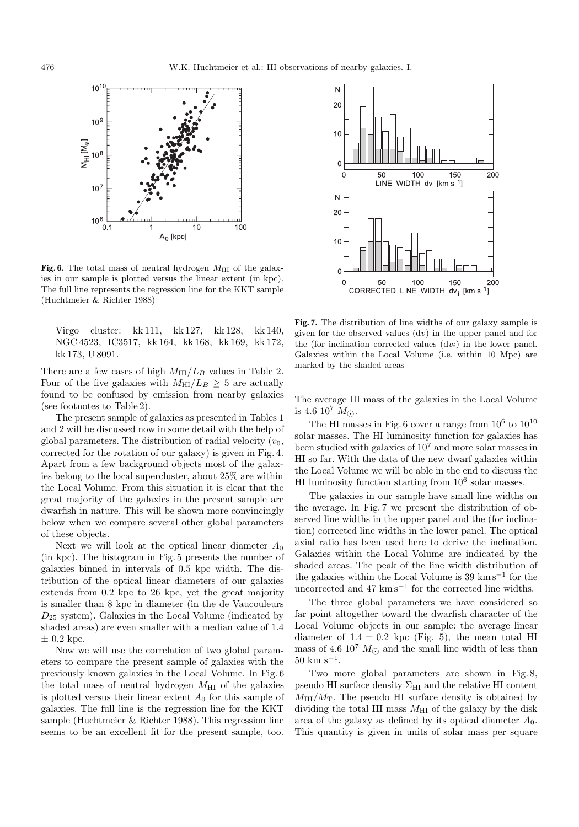

Fig. 6. The total mass of neutral hydrogen  $M_{\rm HI}$  of the galaxies in our sample is plotted versus the linear extent (in kpc). The full line represents the regression line for the KKT sample (Huchtmeier & Richter 1988)

Virgo cluster: kk 111, kk 127, kk 128, kk 140, NGC 4523, IC3517, kk 164, kk 168, kk 169, kk 172, kk 173, U 8091.

There are a few cases of high  $M_{\text{HI}}/L_B$  values in Table 2. Four of the five galaxies with  $M_{\text{HI}}/L_B \geq 5$  are actually found to be confused by emission from nearby galaxies (see footnotes to Table 2).

The present sample of galaxies as presented in Tables 1 and 2 will be discussed now in some detail with the help of global parameters. The distribution of radial velocity  $(v_0,$ corrected for the rotation of our galaxy) is given in Fig. 4. Apart from a few background objects most of the galaxies belong to the local supercluster, about 25% are within the Local Volume. From this situation it is clear that the great majority of the galaxies in the present sample are dwarfish in nature. This will be shown more convincingly below when we compare several other global parameters of these objects.

Next we will look at the optical linear diameter  $A_0$ (in kpc). The histogram in Fig. 5 presents the number of galaxies binned in intervals of 0.5 kpc width. The distribution of the optical linear diameters of our galaxies extends from 0.2 kpc to 26 kpc, yet the great majority is smaller than 8 kpc in diameter (in the de Vaucouleurs  $D_{25}$  system). Galaxies in the Local Volume (indicated by shaded areas) are even smaller with a median value of 1.4  $\pm$  0.2 kpc.

Now we will use the correlation of two global parameters to compare the present sample of galaxies with the previously known galaxies in the Local Volume. In Fig. 6 the total mass of neutral hydrogen  $M_{\text{HI}}$  of the galaxies is plotted versus their linear extent  $A_0$  for this sample of galaxies. The full line is the regression line for the KKT sample (Huchtmeier & Richter 1988). This regression line seems to be an excellent fit for the present sample, too.



**Fig. 7.** The distribution of line widths of our galaxy sample is given for the observed values  $(dv)$  in the upper panel and for the (for inclination corrected values  $(dv_i)$  in the lower panel. Galaxies within the Local Volume (i.e. within 10 Mpc) are marked by the shaded areas

The average HI mass of the galaxies in the Local Volume is 4.6  $10^7$   $M_{\odot}$ .

The HI masses in Fig. 6 cover a range from  $10^6$  to  $10^{10}$ solar masses. The HI luminosity function for galaxies has been studied with galaxies of 10<sup>7</sup> and more solar masses in HI so far. With the data of the new dwarf galaxies within the Local Volume we will be able in the end to discuss the HI luminosity function starting from  $10^6$  solar masses.

The galaxies in our sample have small line widths on the average. In Fig. 7 we present the distribution of observed line widths in the upper panel and the (for inclination) corrected line widths in the lower panel. The optical axial ratio has been used here to derive the inclination. Galaxies within the Local Volume are indicated by the shaded areas. The peak of the line width distribution of the galaxies within the Local Volume is  $39 \text{ km s}^{-1}$  for the uncorrected and 47 km s<sup> $-1$ </sup> for the corrected line widths.

The three global parameters we have considered so far point altogether toward the dwarfish character of the Local Volume objects in our sample: the average linear diameter of  $1.4 \pm 0.2$  kpc (Fig. 5), the mean total HI mass of 4.6 10<sup>7</sup>  $M_{\odot}$  and the small line width of less than  $50 \text{ km s}^{-1}$ .

Two more global parameters are shown in Fig. 8, pseudo HI surface density  $\Sigma_{\rm HI}$  and the relative HI content  $M_{\text{HI}}/M_{\text{T}}$ . The pseudo HI surface density is obtained by dividing the total HI mass  $M_{\rm HI}$  of the galaxy by the disk area of the galaxy as defined by its optical diameter  $A_0$ . This quantity is given in units of solar mass per square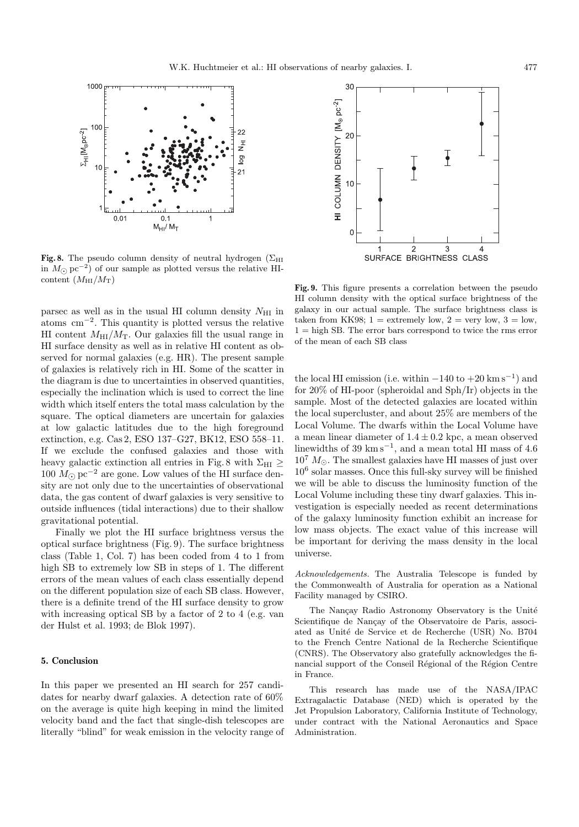

**Fig. 8.** The pseudo column density of neutral hydrogen  $(\Sigma_{\text{HI}})$ in  $M$ <sub>∩</sub> pc<sup>−2</sup>) of our sample as plotted versus the relative HIcontent  $(M_{\rm HI}/M_{\rm T})$ 

parsec as well as in the usual HI column density  $N_{\rm HI}$  in atoms cm−<sup>2</sup>. This quantity is plotted versus the relative HI content  $M_{\text{HI}}/M_{\text{T}}$ . Our galaxies fill the usual range in HI surface density as well as in relative HI content as observed for normal galaxies (e.g. HR). The present sample of galaxies is relatively rich in HI. Some of the scatter in the diagram is due to uncertainties in observed quantities, especially the inclination which is used to correct the line width which itself enters the total mass calculation by the square. The optical diameters are uncertain for galaxies at low galactic latitudes due to the high foreground extinction, e.g. Cas 2, ESO 137–G27, BK12, ESO 558–11. If we exclude the confused galaxies and those with heavy galactic extinction all entries in Fig. 8 with  $\Sigma_{\rm HI} \ge$ 100  $M_{\odot}$  pc<sup>-2</sup> are gone. Low values of the HI surface density are not only due to the uncertainties of observational data, the gas content of dwarf galaxies is very sensitive to outside influences (tidal interactions) due to their shallow gravitational potential.

Finally we plot the HI surface brightness versus the optical surface brightness (Fig. 9). The surface brightness class (Table 1, Col. 7) has been coded from 4 to 1 from high SB to extremely low SB in steps of 1. The different errors of the mean values of each class essentially depend on the different population size of each SB class. However, there is a definite trend of the HI surface density to grow with increasing optical SB by a factor of 2 to 4 (e.g. van der Hulst et al. 1993; de Blok 1997).

## **5. Conclusion**

In this paper we presented an HI search for 257 candidates for nearby dwarf galaxies. A detection rate of 60% on the average is quite high keeping in mind the limited velocity band and the fact that single-dish telescopes are literally "blind" for weak emission in the velocity range of



**Fig. 9.** This figure presents a correlation between the pseudo HI column density with the optical surface brightness of the galaxy in our actual sample. The surface brightness class is taken from KK98;  $1 =$  extremely low,  $2 =$  very low,  $3 =$  low,  $1 =$ high SB. The error bars correspond to twice the rms error of the mean of each SB class

the local HI emission (i.e. within  $-140$  to  $+20$  km s<sup>-1</sup>) and for 20% of HI-poor (spheroidal and Sph/Ir) objects in the sample. Most of the detected galaxies are located within the local supercluster, and about 25% are members of the Local Volume. The dwarfs within the Local Volume have a mean linear diameter of  $1.4 \pm 0.2$  kpc, a mean observed linewidths of 39 km s<sup> $-1$ </sup>, and a mean total HI mass of 4.6  $10^7$   $M_{\odot}$ . The smallest galaxies have HI masses of just over  $10<sup>6</sup>$  solar masses. Once this full-sky survey will be finished we will be able to discuss the luminosity function of the Local Volume including these tiny dwarf galaxies. This investigation is especially needed as recent determinations of the galaxy luminosity function exhibit an increase for low mass objects. The exact value of this increase will be important for deriving the mass density in the local universe.

Acknowledgements. The Australia Telescope is funded by the Commonwealth of Australia for operation as a National Facility managed by CSIRO.

The Nancay Radio Astronomy Observatory is the Unité Scientifique de Nançay of the Observatoire de Paris, associated as Unité de Service et de Recherche (USR) No. B704 to the French Centre National de la Recherche Scientifique (CNRS). The Observatory also gratefully acknowledges the financial support of the Conseil Régional of the Région Centre in France.

This research has made use of the NASA/IPAC Extragalactic Database (NED) which is operated by the Jet Propulsion Laboratory, California Institute of Technology, under contract with the National Aeronautics and Space Administration.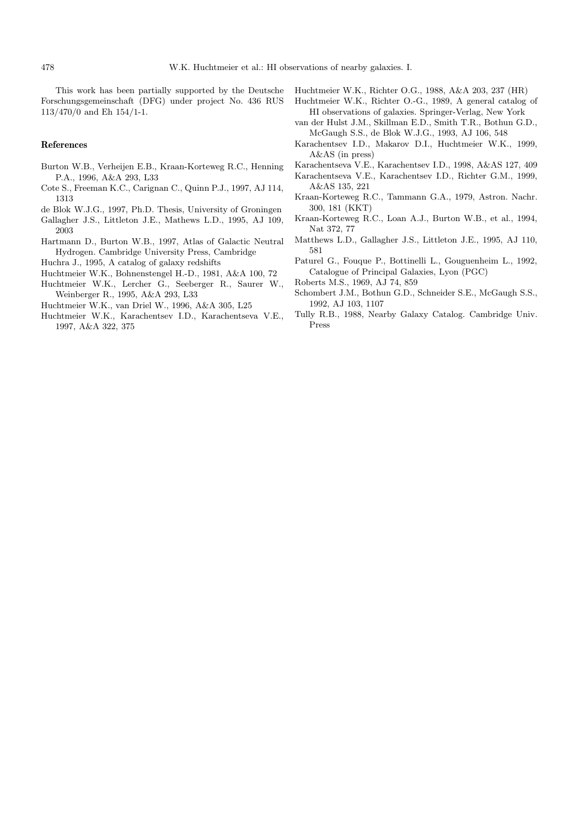This work has been partially supported by the Deutsche Forschungsgemeinschaft (DFG) under project No. 436 RUS 113/470/0 and Eh 154/1-1.

Huchtmeier W.K., Richter O.G., 1988, A&A 203, 237 (HR)

Huchtmeier W.K., Richter O.-G., 1989, A general catalog of HI observations of galaxies. Springer-Verlag, New York

- **References**
- Burton W.B., Verheijen E.B., Kraan-Korteweg R.C., Henning P.A., 1996, A&A 293, L33
- Cote S., Freeman K.C., Carignan C., Quinn P.J., 1997, AJ 114, 1313
- de Blok W.J.G., 1997, Ph.D. Thesis, University of Groningen
- Gallagher J.S., Littleton J.E., Mathews L.D., 1995, AJ 109, 2003
- Hartmann D., Burton W.B., 1997, Atlas of Galactic Neutral Hydrogen. Cambridge University Press, Cambridge
- Huchra J., 1995, A catalog of galaxy redshifts
- Huchtmeier W.K., Bohnenstengel H.-D., 1981, A&A 100, 72 Huchtmeier W.K., Lercher G., Seeberger R., Saurer W., Weinberger R., 1995, A&A 293, L33
- Huchtmeier W.K., van Driel W., 1996, A&A 305, L25
- Huchtmeier W.K., Karachentsev I.D., Karachentseva V.E., 1997, A&A 322, 375
- van der Hulst J.M., Skillman E.D., Smith T.R., Bothun G.D., McGaugh S.S., de Blok W.J.G., 1993, AJ 106, 548
- Karachentsev I.D., Makarov D.I., Huchtmeier W.K., 1999, A&AS (in press)
- Karachentseva V.E., Karachentsev I.D., 1998, A&AS 127, 409
- Karachentseva V.E., Karachentsev I.D., Richter G.M., 1999, A&AS 135, 221
- Kraan-Korteweg R.C., Tammann G.A., 1979, Astron. Nachr. 300, 181 (KKT)
- Kraan-Korteweg R.C., Loan A.J., Burton W.B., et al., 1994, Nat 372, 77
- Matthews L.D., Gallagher J.S., Littleton J.E., 1995, AJ 110, 581
- Paturel G., Fouque P., Bottinelli L., Gouguenheim L., 1992, Catalogue of Principal Galaxies, Lyon (PGC)
- Roberts M.S., 1969, AJ 74, 859
- Schombert J.M., Bothun G.D., Schneider S.E., McGaugh S.S., 1992, AJ 103, 1107
- Tully R.B., 1988, Nearby Galaxy Catalog. Cambridge Univ. Press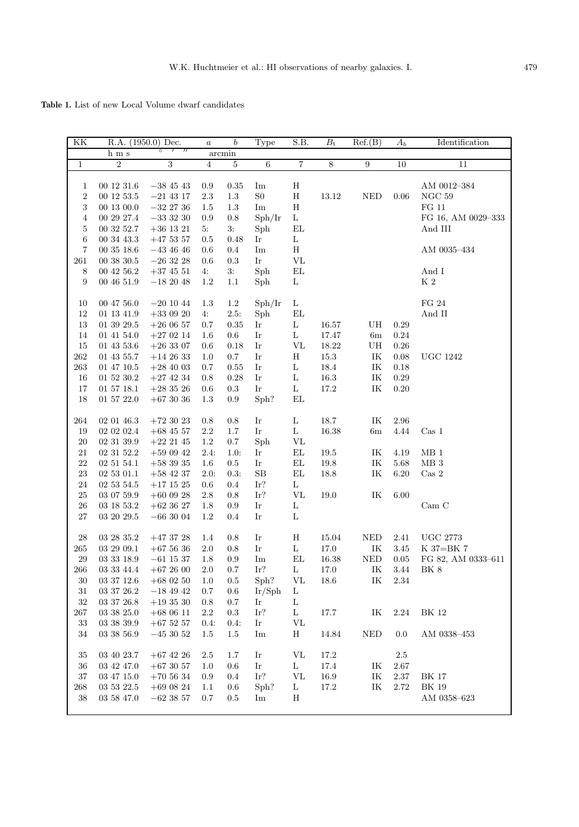Table 1. List of new Local Volume dwarf candidates

| ΚK                  | R.A. (1950.0) Dec.       |                              | $\it a$        | $\boldsymbol{b}$ | Type                       | S.B.                             | $B_{\rm t}$  | Ref.(B)                     | $A_b$        | Identification                |
|---------------------|--------------------------|------------------------------|----------------|------------------|----------------------------|----------------------------------|--------------|-----------------------------|--------------|-------------------------------|
|                     | ${\bf h}$ m s            | $^{\prime\prime}$<br>$\circ$ |                | $\arcsin$        |                            |                                  |              |                             |              |                               |
| $\overline{1}$      | $\overline{2}$           | $\sqrt{3}$                   | $\overline{4}$ | $\overline{5}$   | $\,6$                      | $\overline{7}$                   | 8            | 9                           | 10           | 11                            |
| 1<br>$\overline{2}$ | 00 12 31.6<br>00 12 53.5 | $-38$ 45 43<br>$-21$ 43 17   | $0.9\,$<br>2.3 | 0.35<br>1.3      | Im<br>${\rm S0}$           | $\rm H$<br>H                     | $13.12\,$    | <b>NED</b>                  | 0.06         | AM 0012-384<br>$NGC$ 59       |
| 3                   | 00 13 00.0               | $-32$ 27 36                  | 1.5            | 1.3              | Im                         | $\rm H$                          |              |                             |              | $\rm FG$ 11                   |
| 4<br>5              | 00 29 27.4<br>00 32 52.7 | $-3333230$<br>$+36$ 13 21    | 0.9<br>5:      | 0.8<br>3:        | Sph/Ir<br>Sph              | $\rm L$<br>$\mathop{\rm EL}$     |              |                             |              | FG 16, AM 0029-333<br>And III |
| $\boldsymbol{6}$    | 00 34 43.3               | $+47\ 53\ 57$                | 0.5            | 0.48             | Ir                         | $\mathbf L$                      |              |                             |              |                               |
| $\overline{7}$      | 00 35 18.6               | $-43$ 46 46                  | 0.6            | 0.4              | Im                         | $\rm H$                          |              |                             |              | AM 0035-434                   |
| $261\,$             | $00\ 38\ 30.5$           | $-26\ 32\ 28$                | 0.6            | 0.3              | Ir                         | $\rm{VL}$                        |              |                             |              |                               |
| 8                   | 00 42 56.2               | $+37\ 45\ 51$                | 4:             | 3:               | Sph                        | $\mathop{\rm EL}$                |              |                             |              | And I                         |
| 9                   | 004651.9                 | $-18\ 20\ 48$                | 1.2            | 1.1              | Sph                        | L                                |              |                             |              | $\rm K$ 2                     |
|                     |                          |                              |                |                  |                            |                                  |              |                             |              |                               |
| 10                  | 00 47 56.0               | $-201044$                    | 1.3            | $1.2\,$          | Sph/Ir                     | $\mathbf L$                      |              |                             |              | FG 24                         |
| 12                  | $01$ 13 41.9             | $+33\ 09\ 20$                | 4:             | 2.5:             | Sph                        | EL                               |              |                             |              | And $\rm II$                  |
| 13                  | 01 39 29.5               | $+260657$                    | 0.7            | 0.35             | Ir                         | L                                | 16.57        | UH                          | 0.29         |                               |
| 14                  | 01 41 54.0               | $+270214$                    | 1.6            | $0.6\,$          | Ir                         | L                                | 17.47        | $6\mathrm{m}$               | $0.24\,$     |                               |
| 15                  | $01$ 43 53.6             | $+26$ 33 07                  | $0.6\,$        | 0.18             | $\mathop{\rm Ir}\nolimits$ | $\rm{VL}$                        | 18.22        | UH                          | $0.26\,$     |                               |
| 262                 | 01 43 55.7               | $+14$ 26 33                  | 1.0            | $0.7\,$          | Ir                         | $\rm H$                          | 15.3         | IK                          | 0.08         | $\rm UGC$ 1242                |
| 263                 | 01 47 10.5               | $+284003$                    | 0.7            | 0.55             | Ir                         | $\mathbf L$                      | $18.4\,$     | IK                          | 0.18         |                               |
| 16                  | $01\ 52\ 30.2$           | $+27\ 42\ 34$                | 0.8            | 0.28             | Ir                         | L                                | 16.3         | IK                          | 0.29         |                               |
| 17                  | $01\ 57\ 18.1$           | $+28\ 35\ 26$                | 0.6            | $0.3\,$          | Ir                         | L                                | 17.2         | IK                          | $0.20\,$     |                               |
| 18                  | $01\ 57\ 22.0$           | $+67\ 30\ 36$                | 1.3            | 0.9              | Sph?                       | EL                               |              |                             |              |                               |
|                     |                          |                              |                |                  |                            |                                  |              |                             |              |                               |
| $264\,$             | 02 01 46.3               | $+72\ 30\ 23$                | 0.8            | 0.8              | Ir                         | L                                | 18.7         | IK                          | 2.96         |                               |
| 19                  | 02 02 02.4               | $+68$ 45 57                  | $2.2\,$        | 1.7              | Ir                         | $\mathbf L$                      | 16.38        | $6\mathrm{m}$               | 4.44         | $\rm Cas~1$                   |
| $20\,$              | 02 31 39.9               | $+22$ 21 45                  | 1.2            | $0.7\,$          | Sph                        | VL                               |              |                             |              | $\rm MB$ $1$                  |
| 21<br>22            | 02 31 52.2<br>02 51 54.1 | $+590942$                    | 2.4:<br>1.6    | 1.0:<br>$0.5\,$  | Ir<br>Ir                   | $\mathop{\rm EL}\nolimits$<br>EL | 19.5<br>19.8 | IK<br>IK                    | 4.19<br>5.68 | MB <sub>3</sub>               |
| 23                  | $02\ 53\ 01.1$           | $+583935$<br>$+58$ 42 37     | 2.0:           | 0.3:             | $\rm SB$                   | $\mathop{\rm EL}\nolimits$       | $18.8\,$     | IK                          | $6.20\,$     | $\rm Cas~2$                   |
| $24\,$              | 02 53 54.5               | $+17$ 15 25                  | 0.6            | 0.4              | Ir?                        | $\mathbf L$                      |              |                             |              |                               |
| $25\,$              | 03 07 59.9               | $+60$ 09 28                  | $2.8\,$        | 0.8              | Ir?                        | $\rm{VL}$                        | $19.0\,$     | IK                          | 6.00         |                               |
| 26                  | 03 18 53.2               | $+62$ 36 27                  | 1.8            | $0.9\,$          | $\mathop{\rm Ir}\nolimits$ | L                                |              |                             |              | Cam C                         |
| 27                  | $03\ 20\ 29.5$           | $-663004$                    | 1.2            | 0.4              | Ir                         | L                                |              |                             |              |                               |
|                     |                          |                              |                |                  |                            |                                  |              |                             |              |                               |
| 28                  | 03 28 35.2               | $+473728$                    | 1.4            | 0.8              | Ir                         | $\rm H$                          | 15.04        | $\ensuremath{\mathsf{NED}}$ | 2.41         | $\rm UGC$ 2773                |
| 265                 | 03 29 09.1               | $+67$ 56 36                  | $2.0\,$        | 0.8              | Ir                         | $\mathbf L$                      | 17.0         | IK                          | 3.45         | K 37=BK 7                     |
| $\,29$              | 03 33 18.9               | $-61$ 15 37                  | 1.8            | 0.9              | Im                         | $\mathop{\rm EL}$                | $16.38\,$    | $\ensuremath{\mathsf{NED}}$ | $0.05\,$     | FG 82, AM 0333-611            |
| 266                 | 03 33 44.4               | $+672600$                    | $2.0\,$        | $0.7\,$          | Ir?                        | L                                | 17.0         | IK                          | 3.44         | BK 8                          |
| 30                  | 03 37 12.6               | $+68$ 02 50                  | 1.0            | $0.5\,$          | Sph?                       | VL                               | 18.6         | IK                          | 2.34         |                               |
| 31                  | $03 \ 37 \ 26.2$         | $-18\ 49\ 42$                | 0.7            | $0.6\,$          | Ir/Sph                     | L                                |              |                             |              |                               |
| 32                  | $03 \ 37 \ 26.8$         | $+193530$                    | 0.8            | 0.7              | Ir                         | Г                                |              |                             |              |                               |
| 267                 | $03\ 38\ 25.0$           | $+68\ 06\ 11$                | 2.2            | $0.3\,$          | Ir?                        | $\mathbf{L}$                     | 17.7         | IK                          | $2.24\,$     | <b>BK 12</b>                  |
| 33                  | $03\ 38\ 39.9$           | $+67\ 52\ 57$                | 0.4:           | 0.4:             | Ir                         | VL                               |              |                             |              |                               |
| 34                  | 03 38 56.9               | $-453052$                    | 1.5            | $1.5\,$          | Im                         | Η                                | 14.84        | <b>NED</b>                  | 0.0          | AM 0338-453                   |
| 35                  | $03\ 40\ 23.7$           | $+67\ 42\ 26$                | 2.5            | 1.7              | Ir                         | VL                               | 17.2         |                             | 2.5          |                               |
| 36                  | $03\ 42\ 47.0$           | $+67\ 30\ 57$                | 1.0            | 0.6              | Ir                         | L                                | 17.4         | IK                          | 2.67         |                               |
| $37\,$              | 03 47 15.0               | $+70\ 56\ 34$                | 0.9            | 0.4              | Ir?                        | ${\rm VL}$                       | 16.9         | IK                          | $2.37\,$     | <b>BK 17</b>                  |
| 268                 | 03 53 22.5               | $+69\ 08\ 24$                | 1.1            | 0.6              | Sph?                       | L                                | 17.2         | IK                          | 2.72         | <b>BK 19</b>                  |
| $38\,$              | 03 58 47.0               | $-62$ 38 57                  | 0.7            | $0.5\,$          | Im                         | Η                                |              |                             |              | AM 0358-623                   |
|                     |                          |                              |                |                  |                            |                                  |              |                             |              |                               |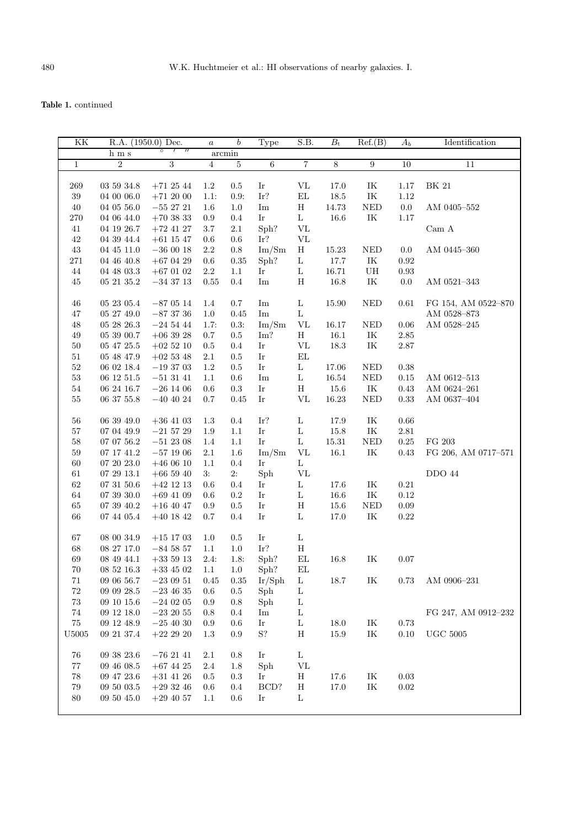| KK            |                | R.A. $(1950.0)$ Dec. | $\boldsymbol{a}$ | $\boldsymbol{b}$ | Type                                                                                                                       | S.B.                       | $B_{\rm t}$ | Ref.(B)                           | $A_b$      | Identification      |
|---------------|----------------|----------------------|------------------|------------------|----------------------------------------------------------------------------------------------------------------------------|----------------------------|-------------|-----------------------------------|------------|---------------------|
|               | h m s          | $\circ$              |                  | arcmin           |                                                                                                                            |                            |             |                                   |            |                     |
| $\mathbf{1}$  | $\overline{2}$ | $\overline{3}$       | $\overline{4}$   | $\overline{5}$   | $\sqrt{6}$                                                                                                                 | $\overline{7}$             | 8           | $\overline{9}$                    | 10         | 11                  |
|               |                |                      |                  |                  |                                                                                                                            |                            |             |                                   |            |                     |
| 269           | 03 59 34.8     | $+71\ 25\ 44$        | 1.2              | $0.5\,$          | Ir                                                                                                                         | $\rm{VL}$                  | 17.0        | IK                                | $1.17\,$   | <b>BK 21</b>        |
| 39            | $04\ 00\ 06.0$ | $+71\ 20\ 00$        | 1.1:             | 0.9:             | Ir?                                                                                                                        | $\mathop{\rm EL}$          | $18.5\,$    | IK                                | $1.12\,$   |                     |
| $40\,$        | 04 05 56.0     | $-55\ 27\ 21$        | $1.6\,$          | 1.0              | $\operatorname{Im}% \left\{ \mathcal{M}_{\mathrm{H}}\right\} =\operatorname{Im}% \left\{ \mathcal{M}_{\mathrm{H}}\right\}$ | $H_{\rm}$                  | 14.73       | $\rm{NED}$                        | $0.0\,$    | AM 0405-552         |
| 270           | 04 06 44.0     | $+70\ 38\ 33$        | $0.9\,$          | $0.4\,$          | Ir                                                                                                                         | $\mathbf L$                | $16.6\,$    | $\ensuremath{\mathit{IK}}\xspace$ | $1.17\,$   |                     |
|               |                |                      |                  |                  | Sph?                                                                                                                       | <b>VL</b>                  |             |                                   |            |                     |
| 41            | 04 19 26.7     | $+72\ 41\ 27$        | 3.7              | $2.1\,$          |                                                                                                                            |                            |             |                                   |            | Cam A               |
| $42\,$        | 04 39 44.4     | $+61$ 15 47          | $0.6\,$          | $0.6\,$          | Ir?                                                                                                                        | <b>VL</b>                  |             |                                   |            |                     |
| $43\,$        | $04\ 45\ 11.0$ | $-36\ 00\ 18$        | $2.2\,$          | $0.8\,$          | Im/Sm                                                                                                                      | H                          | 15.23       | $\ensuremath{\mathsf{NED}}$       | $0.0\,$    | AM 0445-360         |
| 271           | $04\ 46\ 40.8$ | $+67$ 04 29          | $0.6\,$          | $\rm 0.35$       | Sph?                                                                                                                       | L                          | 17.7        | $\ensuremath{\mathit{IK}}\xspace$ | $\rm 0.92$ |                     |
| $44\,$        | $04\ 48\ 03.3$ | $+67\ 01\ 02$        | $2.2\,$          | $1.1\,$          | $\mathop{\rm Ir}\nolimits$                                                                                                 | $\mathbf L$                | $16.71\,$   | ${\rm U}{\rm H}$                  | $\rm 0.93$ |                     |
| 45            | $05\ 21\ 35.2$ | $-34\ 37\ 13$        | 0.55             | $0.4\,$          | $\operatorname{Im}% \left\{ \mathcal{M}_{\mathrm{H}}\right\} =\operatorname{Im}% \left\{ \mathcal{M}_{\mathrm{H}}\right\}$ | $\, {\rm H}$               | $16.8\,$    | IK                                | $0.0\,$    | AM 0521-343         |
|               |                |                      |                  |                  |                                                                                                                            |                            |             |                                   |            |                     |
| $\sqrt{46}$   | 05 23 05.4     | $-870514$            | $1.4\,$          | $0.7\,$          | Im                                                                                                                         | $\mathbf L$                | 15.90       | $\rm{NED}$                        | $0.61\,$   | FG 154, AM 0522-870 |
| 47            | 05 27 49.0     | $-87\ 37\ 36$        | 1.0              | $0.45\,$         | Im                                                                                                                         | $\mathbf L$                |             |                                   |            | AM 0528-873         |
| $48\,$        | $05\ 28\ 26.3$ | $-24\ 54\ 44$        | 1.7:             | 0.3:             | Im/Sm                                                                                                                      | $\rm{VL}$                  | 16.17       | $\ensuremath{\mathsf{NED}}$       | $0.06\,$   | AM 0528-245         |
| 49            | $05\ 39\ 00.7$ | $+063928$            | $0.7\,$          | $0.5\,$          | Im?                                                                                                                        | $\rm H$                    | $16.1\,$    | IK                                | $2.85\,$   |                     |
| 50            | $05\ 47\ 25.5$ | $+02\ 52\ 10$        | $\rm 0.5$        | $0.4\,$          | Ir                                                                                                                         | $\rm{VL}$                  | 18.3        | $\ensuremath{\mathit{IK}}\xspace$ | $2.87\,$   |                     |
| 51            | 05 48 47.9     | $+02\ 53\ 48$        | 2.1              | $0.5\,$          | Ir                                                                                                                         | $\mathop{\rm EL}\nolimits$ |             |                                   |            |                     |
| $52\,$        | 06 02 18.4     | $-193703$            | 1.2              | $0.5\,$          | Ir                                                                                                                         | $\mathbf L$                | 17.06       | NED                               | 0.38       |                     |
| 53            | $06\ 12\ 51.5$ | $-513141$            | 1.1              | 0.6              | Im                                                                                                                         | L                          | $16.54\,$   | $\rm{NED}$                        | $0.15\,$   | AM 0612-513         |
| $54\,$        | 06 24 16.7     | $-26\ 14\ 06$        | $0.6\,$          | $\rm 0.3$        | $\mathop{\rm Ir}\nolimits$                                                                                                 | $\, {\rm H}$               | $15.6\,$    | $\ensuremath{\mathit{IK}}\xspace$ | $0.43\,$   | AM 0624-261         |
| $55\,$        | $06\ 37\ 55.8$ | $-40\ 40\ 24$        | $0.7\,$          | 0.45             | $\mathop{\rm Ir}\nolimits$                                                                                                 | $\rm{VL}$                  | $16.23\,$   | $\rm{NED}$                        | $0.33\,$   | AM 0637-404         |
|               |                |                      |                  |                  |                                                                                                                            |                            |             |                                   |            |                     |
| $56\,$        | 06 39 49.0     | $+36$ 41 03          | 1.3              | $0.4\,$          | Ir?                                                                                                                        | $\mathbf L$                | 17.9        | IK                                | $0.66\,$   |                     |
| 57            | 07 04 49.9     | $-21\ 57\ 29$        | 1.9              | 1.1              | Ir                                                                                                                         | $\mathbf L$                | $15.8\,$    | IK                                | $2.81\,$   |                     |
|               |                |                      |                  |                  | Ir                                                                                                                         |                            |             |                                   |            |                     |
| 58            | $07\ 07\ 56.2$ | $-51$ 23 08          | 1.4              | 1.1              |                                                                                                                            | $\mathbf L$                | $15.31\,$   | $\rm{NED}$                        | $0.25\,$   | FG 203              |
| $59\,$        | $07\ 17\ 41.2$ | $-57\ 19\ 06$        | $2.1\,$          | $1.6\,$          | Im/Sm                                                                                                                      | $\rm{VL}$                  | $16.1\,$    | $\ensuremath{\textup{IK}}\xspace$ | 0.43       | FG 206, AM 0717-571 |
| $60\,$        | $07\ 20\ 23.0$ | $+46\ 06\ 10$        | 1.1              | $0.4\,$          | Ir                                                                                                                         | $\mathbf L$                |             |                                   |            |                     |
| $61\,$        | 07 29 13.1     | $+66\ 59\ 40$        | 3:               | 2:               | Sph                                                                                                                        | ${\rm VL}$                 |             |                                   |            | <b>DDO 44</b>       |
| $62\,$        | $07\ 31\ 50.6$ | $+42\ 12\ 13$        | 0.6              | $\rm 0.4$        | Ir                                                                                                                         | L                          | 17.6        | IK                                | $0.21\,$   |                     |
| $64\,$        | $07\ 39\ 30.0$ | $+69\ 41\ 09$        | 0.6              | 0.2              | Ir                                                                                                                         | L                          | $16.6\,$    | IK                                | $0.12\,$   |                     |
| $65\,$        | $07\ 39\ 40.2$ | $+16\ 40\ 47$        | $0.9\,$          | $\rm 0.5$        | $\mathop{\rm Ir}\nolimits$                                                                                                 | $\, {\rm H}$               | $15.6\,$    | $\rm{NED}$                        | $0.09\,$   |                     |
| $66\,$        | $07\ 44\ 05.4$ | $+40\ 18\ 42$        | $0.7\,$          | $0.4\,$          | Ir                                                                                                                         | $\mathbf L$                | $17.0\,$    | $\ensuremath{\mathit{IK}}\xspace$ | $0.22\,$   |                     |
|               |                |                      |                  |                  |                                                                                                                            |                            |             |                                   |            |                     |
| 67            | $08\ 00\ 34.9$ | $+15\ 17\ 03$        | 1.0              | $0.5\,$          | Ir                                                                                                                         | $\mathbf L$                |             |                                   |            |                     |
| 68            | $08\ 27\ 17.0$ | $-84$ 58 57          | 1.1              | 1.0              | Ir?                                                                                                                        | $\, {\rm H}$               |             |                                   |            |                     |
| 69            | 08 49 44.1     | $+33\ 59\ 13$        | 2.4:             | 1.8:             | Sph?                                                                                                                       | $\mathop{\rm EL}\nolimits$ | 16.8        | IK                                | 0.07       |                     |
| 70            | $08\ 52\ 16.3$ | $+33$ 45 02          | 1.1              | 1.0              | Sph?                                                                                                                       | EL                         |             |                                   |            |                     |
| 71            | 09 06 56.7     | $-23\ 09\ 51$        | 0.45             | $\rm 0.35$       | Ir/Sph                                                                                                                     | L                          | 18.7        | IK                                | 0.73       | AM 0906-231         |
| $72\,$        | 09 09 28.5     | $-23\ 46\ 35$        | 0.6              | $0.5\,$          | Sph                                                                                                                        | $\mathbf L$                |             |                                   |            |                     |
| $73\,$        | 09 10 15.6     | $-24\ 02\ 05$        | 0.9              | $\rm 0.8$        | Sph                                                                                                                        | L                          |             |                                   |            |                     |
| 74            | 09 12 18.0     | $-23\ 20\ 55$        | 0.8              | 0.4              | Im                                                                                                                         | L                          |             |                                   |            | FG 247, AM 0912-232 |
| $75\,$        | 09 12 48.9     | $-25$ 40 30          | 0.9              | 0.6              | Ir                                                                                                                         | L                          | 18.0        | IK                                | 0.73       |                     |
| ${\bf U}5005$ |                |                      |                  |                  | S?                                                                                                                         |                            |             |                                   |            | ${\rm UGC}$ 5005    |
|               | 09 21 37.4     | $+22\ 29\ 20$        | 1.3              | 0.9              |                                                                                                                            | $\boldsymbol{\mathrm{H}}$  | 15.9        | IK                                | $0.10\,$   |                     |
|               |                |                      |                  |                  |                                                                                                                            |                            |             |                                   |            |                     |
| 76            | 09 38 23.6     | $-76\ 21\ 41$        | $2.1\,$          | $0.8\,$          | Ir                                                                                                                         | $\mathbf L$                |             |                                   |            |                     |
| 77            | $09\ 46\ 08.5$ | $+67$ 44 25          | $2.4\,$          | 1.8              | Sph                                                                                                                        | VL                         |             |                                   |            |                     |
| 78            | 09 47 23.6     | $+31$ 41 26          | 0.5              | 0.3              | Ir                                                                                                                         | Н                          | 17.6        | IK                                | 0.03       |                     |
| 79            | 09 50 03.5     | $+293246$            | 0.6              | 0.4              | BCD?                                                                                                                       | $\rm H$                    | 17.0        | IK                                | $\rm 0.02$ |                     |
| $80\,$        | 09 $50\ 45.0$  | $+29$ 40 57          | 1.1              | 0.6              | Ir                                                                                                                         | L                          |             |                                   |            |                     |
|               |                |                      |                  |                  |                                                                                                                            |                            |             |                                   |            |                     |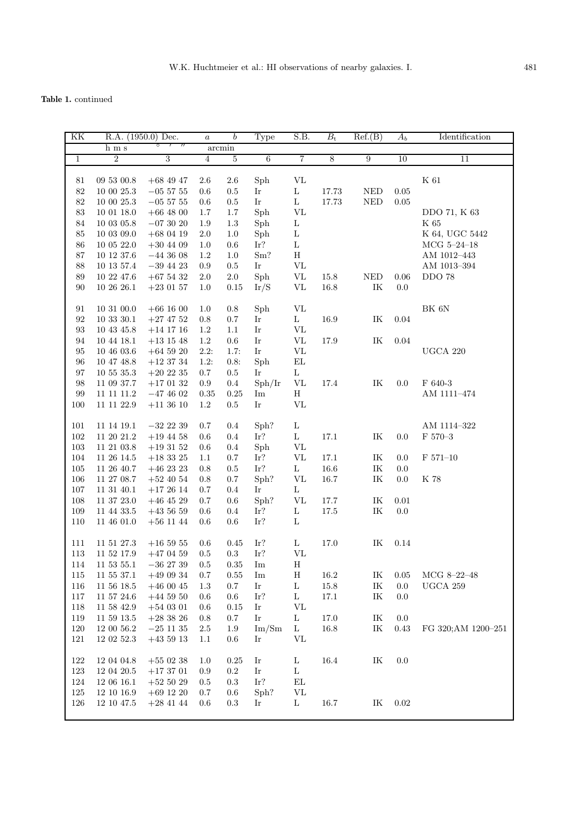| KK                |                | R.A. (1950.0) Dec.     | $\boldsymbol{a}$ | $\boldsymbol{b}$ | Type                 | S.B.              | $B_{\rm t}$    | Ref.(B)                           | $A_b$    | Identification      |
|-------------------|----------------|------------------------|------------------|------------------|----------------------|-------------------|----------------|-----------------------------------|----------|---------------------|
|                   | ${\rm h}$ m s  | O<br>$^{\prime\prime}$ |                  | $\rm arcmin$     |                      |                   |                |                                   |          |                     |
| $\mathbf{1}$      | $\sqrt{2}$     | $\overline{3}$         | $\overline{4}$   | $\bf 5$          | $\overline{6}$       | $\overline{7}$    | $\overline{8}$ | 9                                 | 10       | 11                  |
|                   |                |                        |                  |                  |                      |                   |                |                                   |          |                     |
| 81                | 09 53 00.8     | $+68$ 49 47            | 2.6              | 2.6              | Sph                  | $\rm{VL}$         |                |                                   |          | $\rm K$ 61          |
| 82                | 10 00 25.3     | $-05\ 57\ 55$          | 0.6              | 0.5              | Ir                   | $\mathbf L$       | 17.73          | <b>NED</b>                        | 0.05     |                     |
| 82                | 10 00 25.3     | $-05\,57\,55$          | $0.6\,$          | 0.5              | Ir                   | $\mathbf L$       | 17.73          | <b>NED</b>                        | 0.05     |                     |
| 83                | 10 01 18.0     | $+66$ 48 00            | 1.7              | 1.7              | Sph                  | $\rm{VL}$         |                |                                   |          | DDO 71, K 63        |
| 84                | 10 03 05.8     | $-073020$              | 1.9              | 1.3              | Sph                  | L                 |                |                                   |          | K 65                |
| $85\,$            | $10\ 03\ 09.0$ | $+68$ 04 19            | $2.0\,$          | $1.0\,$          | Sph                  | L                 |                |                                   |          | K 64, UGC 5442      |
| 86                | 10 05 22.0     | $+30$ 44 09            | 1.0              | 0.6              | Ir?                  | $\mathbf L$       |                |                                   |          | $MCG 5-24-18$       |
| $87\,$            | 10 12 37.6     | $-44$ 36 08            | 1.2              | 1.0              | Sm?                  | $\rm H$           |                |                                   |          | AM 1012-443         |
| $88\,$            | $10\ 13\ 57.4$ | $-39$ 44 23            | 0.9              | 0.5              | Ir                   | ${\rm VL}$        |                |                                   |          | AM 1013-394         |
| $89\,$            | 10 22 47.6     | $+67\ 54\ 32$          | 2.0              | $2.0\,$          | Sph                  | $\rm{VL}$         | 15.8           | <b>NED</b>                        | 0.06     | <b>DDO 78</b>       |
| 90                | 10 26 26.1     | $+23$ 01 57            | 1.0              | 0.15             | Ir/S                 | $\rm{VL}$         | 16.8           | $\ensuremath{\mathit{IK}}\xspace$ | 0.0      |                     |
|                   |                |                        |                  |                  |                      |                   |                |                                   |          |                     |
| 91                | 103100.0       | $+66$ 16 00            | 1.0              | $0.8\,$          | Sph                  | $\rm{VL}$         |                |                                   |          | ${\rm BK}$ 6N       |
| 92                | $10\ 33\ 30.1$ | $+27\ 47\ 52$          | $0.8\,$          | 0.7              | Ir                   | $\mathbf{L}$      | 16.9           | $\ensuremath{\textsc{IK}}\xspace$ | $0.04\,$ |                     |
| 93                | 10 43 45.8     | $+14$ 17 16            | 1.2              | $1.1\,$          | Ir                   | VL                |                |                                   |          |                     |
| 94                | 10 44 18.1     | $+13$ 15 48            | 1.2              | $0.6\,$          | Ir                   | VL                | 17.9           | IK                                | 0.04     |                     |
| 95                | $10\ 46\ 03.6$ | $+64$ 59 20            | 2.2:             | 1.7:             | Ir                   | ${\rm VL}$        |                |                                   |          | UGCA $220$          |
| 96                | 10 47 48.8     | $+12$ 37 34            | 1.2:             | 0.8:             | Sph                  | $\mathop{\rm EL}$ |                |                                   |          |                     |
| 97                | $10\ 55\ 35.3$ | $+20\ 22\ 35$          | 0.7              | $0.5\,$          | Ir                   | L                 |                |                                   |          |                     |
| 98                | 11 09 37.7     | $+170132$              | 0.9              | $0.4\,$          | Sph/Ir               | VL                | 17.4           | $\ensuremath{\mathit{IK}}\xspace$ | 0.0      | F 640-3             |
| $\boldsymbol{99}$ | $11\ 11\ 11.2$ | $-47$ 46 02            | 0.35             | 0.25             | Im                   | H                 |                |                                   |          | AM 1111-474         |
| 100               | $11\ 11\ 22.9$ | $+11$ 36 10            | 1.2              | $\rm 0.5$        | Ir                   | $\rm{VL}$         |                |                                   |          |                     |
|                   |                |                        |                  |                  |                      |                   |                |                                   |          |                     |
| 101               | 11 14 19.1     | $-32$ 22 39            | 0.7              | 0.4              | Sph?                 | L                 |                |                                   |          | AM 1114-322         |
| $102\,$           | 11 20 21.2     | $+19$ 44 58            | 0.6              | 0.4              | Ir?                  | L                 | 17.1           | IK                                | 0.0      | $\mathrm{F}$ 570–3  |
| 103               | 11 21 03.8     | $+19\ 31\ 52$          | 0.6              | 0.4              | Sph                  | ${\rm VL}$        |                |                                   |          |                     |
| 104               | $11\ 26\ 14.5$ | $+18\ 33\ 25$          | 1.1              | 0.7              | Ir?                  | $\rm{VL}$         | $17.1\,$       | IK                                | 0.0      | $F 571 - 10$        |
| $105\,$           | 11 26 40.7     | $+46$ 23 23            | $0.8\,$          | $0.5\,$          | Ir?                  | L                 | 16.6           | $\ensuremath{\mathit{IK}}\xspace$ | 0.0      |                     |
| 106               | $11\ 27\ 08.7$ | $+52\ 40\ 54$          | $0.8\,$          | 0.7              | Sph?                 | $\rm{VL}$         | 16.7           | IK                                | 0.0      | K 78                |
| 107               | $11\ 31\ 40.1$ | $+172614$              | 0.7              | 0.4              | Ir                   | $\mathbf L$       |                |                                   |          |                     |
| 108               | $11\ 37\ 23.0$ | $+46$ 45 29            | 0.7              | 0.6              | Sph?                 | VL                | 17.7           | IK                                | 0.01     |                     |
| 109               | 11 44 33.5     | $+43\,56\,59$          | 0.6              | 0.4              | Ir?                  | L                 | $17.5\,$       | $\ensuremath{\mathit{IK}}\xspace$ | $0.0\,$  |                     |
| 110               | $11\ 46\ 01.0$ | $+56$ 11 44            | 0.6              | 0.6              | Ir?                  | L                 |                |                                   |          |                     |
|                   |                |                        |                  |                  |                      |                   |                |                                   |          |                     |
| 111               | 11 51 27.3     | $+16\;59\;55$          | 0.6              | 0.45             | Ir?                  | L                 | 17.0           | IK                                | 0.14     |                     |
| 113               | 11 52 17.9     | $+47$ 04 59            | $0.5\,$          | $0.3\,$          | $\operatorname{Ir?}$ | VL                |                |                                   |          |                     |
| 114               | $11\ 53\ 55.1$ | $-36$ 27 39            | $0.5\,$          | 0.35             | Im                   | $H_{\parallel}$   |                |                                   |          |                     |
| 115               | 11 55 37.1     | $+490934$              | 0.7              | 0.55             | Im                   | Η                 | 16.2           | ΙK                                | 0.05     | MCG 8-22-48         |
| 116               | 11 56 18.5     | $+460045$              | 1.3              | $0.7\,$          | Ir                   | L                 | $15.8\,$       | IK                                | 0.0      | UGCA $259$          |
| $117\,$           | 11 57 24.6     | $+44$ 59 50            | 0.6              | $0.6\,$          | Ir?                  | L                 | 17.1           | IK                                | 0.0      |                     |
| 118               | 11 58 42.9     | $+54$ 03 01            | 0.6              | 0.15             | Ir                   | VL                |                |                                   |          |                     |
| 119               | $11\ 59\ 13.5$ | $+28\ 38\ 26$          | 0.8              | $0.7\,$          | Ir                   | $\mathbf L$       | 17.0           | $\ensuremath{\mathit{IK}}\xspace$ | 0.0      |                     |
| 120               | 12 00 56.2     | $-25$ 11 35            | $2.5\,$          | $1.9\,$          | Im/Sm                | L                 | 16.8           | IK                                | 0.43     | FG 320; AM 1200-251 |
| 121               | 12 02 52.3     | $+435913$              | 1.1              | 0.6              | Ir                   | VL                |                |                                   |          |                     |
|                   |                |                        |                  |                  |                      |                   |                |                                   |          |                     |
| 122               | 12 04 04.8     | $+550238$              | 1.0              | 0.25             | Ir                   | L                 | 16.4           | IK                                | 0.0      |                     |
| $123\,$           | 12 04 20.5     | $+173701$              | 0.9              | $0.2\,$          | Ir                   | L                 |                |                                   |          |                     |
| 124               | 12 06 16.1     | $+52\ 50\ 29$          | 0.5              | 0.3              | Ir?                  | EL                |                |                                   |          |                     |
| $125\,$           | 12 10 16.9     | $+69$ 12 20            | 0.7              | 0.6              | Sph?                 | VL                |                |                                   |          |                     |
| 126               | 12 10 47.5     | $+28$ 41 44            | 0.6              | 0.3              | Ir                   | L                 | 16.7           | IK                                | 0.02     |                     |
|                   |                |                        |                  |                  |                      |                   |                |                                   |          |                     |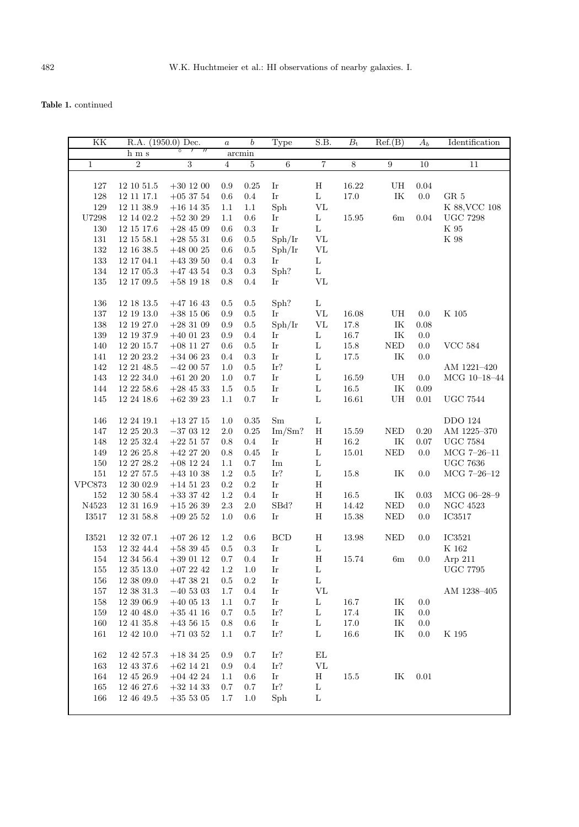| KK            | R.A. (1950.0) Dec. |                                                | $\boldsymbol{a}$ | $\boldsymbol{b}$ | Type                                                                                                                         | S.B.                            | $\overline{B_{t}}$ | Ref.(B)                           | $A_b$    | Identification        |
|---------------|--------------------|------------------------------------------------|------------------|------------------|------------------------------------------------------------------------------------------------------------------------------|---------------------------------|--------------------|-----------------------------------|----------|-----------------------|
|               | ${\bf h}$ m s      | $\overline{1}$<br>$^{\prime\prime}$<br>$\circ$ |                  | arcmin           |                                                                                                                              |                                 |                    |                                   |          |                       |
| $\mathbf{1}$  | $\overline{2}$     | $\overline{3}$                                 | $\sqrt{4}$       | $\overline{5}$   | $\overline{6}$                                                                                                               | 7                               | $\overline{8}$     | $\overline{9}$                    | 10       | $\overline{11}$       |
|               |                    |                                                |                  |                  |                                                                                                                              |                                 |                    |                                   |          |                       |
| $127\,$       | $12\ 10\ 51.5$     | $+30\ 12\ 00$                                  | 0.9              | 0.25             | $\mathop{\rm Ir}\nolimits$                                                                                                   | $\rm H$                         | 16.22              | UH                                | 0.04     |                       |
| $128\,$       | $12\ 11\ 17.1$     | $+05$ 37 54                                    | $0.6\,$          | $0.4\,$          | $\mathop{\rm Ir}\nolimits$                                                                                                   | $\rm L$                         | $17.0\,$           | IK                                | $0.0\,$  | ${\rm GR}$ 5          |
| 129           | 12 11 38.9         | $+16$ 14 35                                    | 1.1              | 1.1              | Sph                                                                                                                          | $\rm{VL}$                       |                    |                                   |          | K 88, VCC 108         |
| ${\bf U7298}$ | $12\ 14\ 02.2$     | $+52\ 30\ 29$                                  | 1.1              | 0.6              | $\mathop{\rm Ir}\nolimits$                                                                                                   | L                               | $15.95\,$          | 6m                                | 0.04     | $UGC$ 7298            |
| $130\,$       | $12\ 15\ 17.6$     | $+28\ 45\ 09$                                  | $0.6\,$          | $\rm 0.3$        | Ir                                                                                                                           | $\mathbf L$                     |                    |                                   |          | $\rm K$ 95            |
| 131           | 12 15 58.1         | $+285531$                                      | 0.6              | $\rm 0.5$        | Sph/Ir                                                                                                                       | $\rm{VL}$                       |                    |                                   |          | $\rm K$ 98            |
| $132\,$       | $12\ 16\ 38.5$     | $+48\ 00\ 25$                                  | 0.6              | $\rm 0.5$        | Sph/Ir                                                                                                                       | $\rm{VL}$                       |                    |                                   |          |                       |
| $133\,$       | 12 17 04.1         | $+43\ 39\ 50$                                  | 0.4              | $\rm 0.3$        | Ir                                                                                                                           | Г                               |                    |                                   |          |                       |
| $134\,$       | $12\ 17\ 05.3$     | $+47\ 43\ 54$                                  | 0.3              | $\rm 0.3$        | Sph?                                                                                                                         | L                               |                    |                                   |          |                       |
| $135\,$       | 12 17 09.5         | $+58\ 19\ 18$                                  | $0.8\,$          | 0.4              | Ir                                                                                                                           | $\rm{VL}$                       |                    |                                   |          |                       |
|               |                    |                                                |                  |                  |                                                                                                                              |                                 |                    |                                   |          |                       |
| 136           | 12 18 13.5         | $+47$ 16 43                                    | 0.5              | $0.5\,$          | Sph?                                                                                                                         | $\mathbf L$                     |                    |                                   |          |                       |
| $137\,$       | $12\ 19\ 13.0$     | $+38\ 15\ 06$                                  | $0.9\,$          | 0.5              | Ir                                                                                                                           | $\rm{VL}$                       | $16.08\,$          | UH                                | 0.0      | K 105                 |
| $138\,$       | 12 19 27.0         | $+283109$                                      | 0.9              | $\rm 0.5$        | Sph/Ir                                                                                                                       | $\ensuremath{\text{VL}}\xspace$ | $17.8\,$           | $\ensuremath{\textsc{IK}}\xspace$ | 0.08     |                       |
| $139\,$       | $12\ 19\ 37.9$     | $+40\ 01\ 23$                                  | 0.9              | 0.4              | Ir                                                                                                                           | L                               | 16.7               | IK                                | 0.0      |                       |
| $140\,$       | 12 20 15.7         | $+08$ 11 27                                    | $0.6\,$          | $\rm 0.5$        | $\mathop{\rm Ir}\nolimits$                                                                                                   | L                               | $15.8\,$           | $\rm NED$                         | 0.0      | <b>VCC 584</b>        |
| $141\,$       | $12\ 20\ 23.2$     | $+340623$                                      | $0.4\,$          | $\rm 0.3$        | $\mathop{\rm Ir}\nolimits$                                                                                                   | $\mathbf L$                     | $17.5\,$           | IK                                | 0.0      |                       |
| 142           | 12 21 48.5         | $-420057$                                      | 1.0              | $0.5\,$          | Ir?                                                                                                                          | L                               |                    |                                   |          | AM 1221-420           |
| 143           | $12\ 22\ 34.0$     | $+612020$                                      | 1.0              | 0.7              | Ir                                                                                                                           | $\mathbf L$                     | 16.59              | UH                                | 0.0      | $MCG$ 10-18-44        |
| 144           | $12\ 22\ 58.6$     | $+28\ 45\ 33$                                  | 1.5              | $\rm 0.5$        | $\mathop{\rm Ir}\nolimits$                                                                                                   | L                               | $16.5\,$           | IK                                | 0.09     |                       |
| 145           |                    |                                                |                  |                  | $\mathop{\rm Ir}\nolimits$                                                                                                   | L                               | $16.61\,$          | ${\rm U}{\rm H}$                  | $0.01\,$ |                       |
|               | $12\ 24\ 18.6$     | $+62\ 39\ 23$                                  | 1.1              | 0.7              |                                                                                                                              |                                 |                    |                                   |          | ${\rm UGC}$ 7544      |
|               |                    |                                                |                  |                  |                                                                                                                              |                                 |                    |                                   |          | <b>DDO 124</b>        |
| 146           | 12 24 19.1         | $+132715$                                      | 1.0              | 0.35             | Sm                                                                                                                           | $\mathbf L$                     |                    |                                   |          |                       |
| 147           | $12\ 25\ 20.3$     | $-37\ 03\ 12$                                  | 2.0              | $0.25\,$         | Im/Sm?                                                                                                                       | $\rm H$                         | $15.59\,$          | $\ensuremath{\mathsf{NED}}$       | 0.20     | AM 1225-370           |
| 148           | $12\ 25\ 32.4$     | $+22\;51\;57$                                  | 0.8              | $0.4\,$          | Ir                                                                                                                           | $\rm H$                         | 16.2               | $\ensuremath{\mathit{IK}}\xspace$ | 0.07     | $_{\mathrm UGC}$ 7584 |
| 149           | 12 26 25.8         | $+42\ 27\ 20$                                  | 0.8              | 0.45             | $\mathop{\rm Ir}\nolimits$                                                                                                   | L                               | 15.01              | $\rm{NED}$                        | 0.0      | $MCG 7-26-11$         |
| $150\,$       | $12\ 27\ 28.2$     | $+08\ 12\ 24$                                  | 1.1              | $0.7\,$          | $\operatorname{Im}% \left\{ \mathcal{H}_{\mathcal{M}}\right\} =\operatorname{Im}% \left\{ \mathcal{H}_{\mathcal{M}}\right\}$ | L                               |                    |                                   |          | ${\rm UGC}$ 7636      |
| 151           | 12 27 57.5         | $+43\ 10\ 38$                                  | 1.2              | $0.5\,$          | Ir?                                                                                                                          | L                               | $15.8\,$           | IK                                | 0.0      | $MCG 7-26-12$         |
| <b>VPC873</b> | 12 30 02.9         | $+14\ 51\ 23$                                  | $\rm 0.2$        | $\rm 0.2$        | Ir                                                                                                                           | $\, {\rm H}$                    |                    |                                   |          |                       |
| $152\,$       | $12\ 30\ 58.4$     | $+33\ 37\ 42$                                  | $1.2\,$          | $0.4\,$          | Ir                                                                                                                           | $\rm H$                         | $16.5\,$           | $\ensuremath{\mathit{IK}}\xspace$ | 0.03     | MCG 06-28-9           |
| N4523         | $12\ 31\ 16.9$     | $+152639$                                      | $2.3\,$          | $2.0\,$          | SBd?                                                                                                                         | $\, {\rm H}$                    | 14.42              | $\ensuremath{\mathsf{NED}}$       | $0.0\,$  | NGC $4523\,$          |
| $\;$ I3517    | 12 31 58.8         | $+09\ 25\ 52$                                  | 1.0              | 0.6              | Ir                                                                                                                           | $\rm H$                         | $15.38\,$          | <b>NED</b>                        | $0.0\,$  | $\rm IC3517$          |
|               |                    |                                                |                  |                  |                                                                                                                              |                                 |                    |                                   |          |                       |
| $\;$ I3521    | $12\ 32\ 07.1$     | $+072612$                                      | 1.2              | 0.6              | BCD                                                                                                                          | $\rm H$                         | 13.98              | $\ensuremath{\mathsf{NED}}$       | 0.0      | IC3521                |
| $153\,$       | 12 32 44.4         | $+58\ 39\ 45$                                  | 0.5              | 0.3              | $\mathop{\rm Ir}\nolimits$                                                                                                   | $\mathbf L$                     |                    |                                   |          | $\rm K$ 162           |
| 154           | 12 34 56.4         | $+39$ 01 12                                    | $0.7\,$          | $0.4\,$          | $\mathop{\rm Ir}\nolimits$                                                                                                   | $\rm H$                         | 15.74              | 6m                                | 0.0      | Arp 211               |
| 155           | 12 35 13.0         | $+072242$                                      | 1.2              | 1.0              | Ir                                                                                                                           | L                               |                    |                                   |          | <b>UGC 7795</b>       |
| 156           | 12 38 09.0         | $+473821$                                      | $0.5\,$          | $\rm 0.2$        | Ir                                                                                                                           | L                               |                    |                                   |          |                       |
| $157\,$       | $12\ 38\ 31.3$     | $-40\ 53\ 03$                                  | 1.7              | 0.4              | Ir                                                                                                                           | $\rm{VL}$                       |                    |                                   |          | AM 1238-405           |
| 158           | 12 39 06.9         | $+40\ 05\ 13$                                  | 1.1              | 0.7              | Ir                                                                                                                           | $\mathbf L$                     | 16.7               | IK                                | 0.0      |                       |
| 159           | 12 40 48.0         | $+35$ 41 16                                    | 0.7              | 0.5              | Ir?                                                                                                                          | L                               | 17.4               | IK                                | 0.0      |                       |
| 160           | 12 41 35.8         | $+43\;56\;15$                                  | 0.8              | 0.6              | Ir                                                                                                                           | L                               | 17.0               | $\ensuremath{\textup{IK}}\xspace$ | 0.0      |                       |
| 161           | $12\ 42\ 10.0$     | $+71\ 03\ 52$                                  | 1.1              | 0.7              | Ir?                                                                                                                          | L                               | $16.6\,$           | IK                                | 0.0      | K 195                 |
| 162           | 12 42 57.3         | $+183425$                                      | 0.9              | 0.7              | Ir?                                                                                                                          | EL                              |                    |                                   |          |                       |
| 163           | $12\ 43\ 37.6$     | $+62$ 14 21                                    | 0.9              | 0.4              | Ir?                                                                                                                          | $\rm{VL}$                       |                    |                                   |          |                       |
| 164           | 12 45 26.9         | $+04$ 42 24                                    | $1.1\,$          | 0.6              | Ir                                                                                                                           | Η                               | 15.5               | IK                                | 0.01     |                       |
| 165           | 12 46 27.6         | $+32$ 14 33                                    | 0.7              | 0.7              | Ir?                                                                                                                          | L                               |                    |                                   |          |                       |
| 166           | 12 46 49.5         | $+35\;53\;05$                                  | 1.7              | 1.0              | Sph                                                                                                                          | L                               |                    |                                   |          |                       |
|               |                    |                                                |                  |                  |                                                                                                                              |                                 |                    |                                   |          |                       |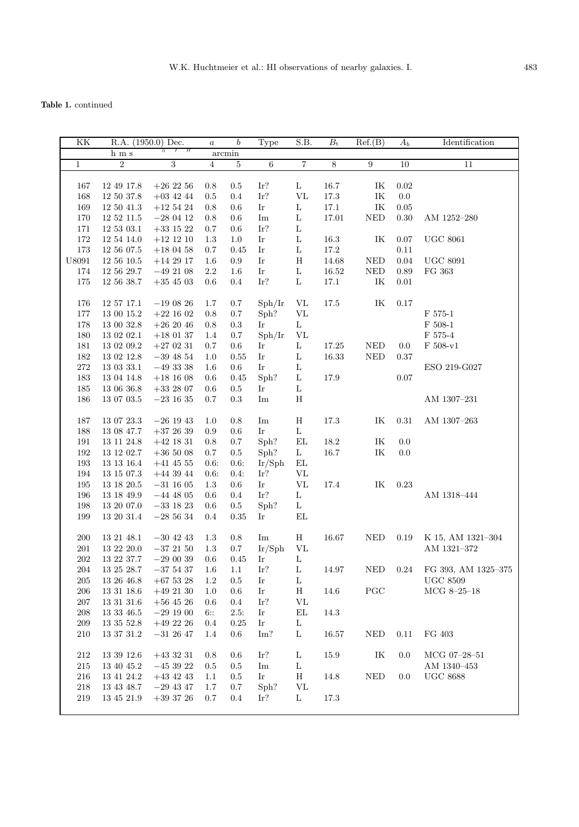| $\overline{\text{KK}}$ |                   | R.A. (1950.0) Dec.                | $\boldsymbol{a}$ | $\boldsymbol{b}$ | Type                       | S.B.              | $B_{\rm t}$    | Ref.(B)                           | $A_b$    | Identification        |
|------------------------|-------------------|-----------------------------------|------------------|------------------|----------------------------|-------------------|----------------|-----------------------------------|----------|-----------------------|
|                        | $h \, \text{m s}$ | 7<br>$^{\prime\prime}$<br>$\circ$ |                  | arcmin           |                            |                   |                |                                   |          |                       |
| $\mathbf{1}$           | $\overline{2}$    | 3                                 | $\overline{4}$   | $\bf 5$          | $6\overline{6}$            | 7                 | $\overline{8}$ | 9                                 | 10       | 11                    |
|                        |                   |                                   |                  |                  |                            |                   |                |                                   |          |                       |
| 167                    | 12 49 17.8        | $+26\ 22\ 56$                     | 0.8              | 0.5              | Ir?                        | L                 | 16.7           | IK                                | 0.02     |                       |
| 168                    | 12 50 37.8        | $+03$ 42 44                       | $0.5\,$          | 0.4              | Ir?                        | $\rm{VL}$         | $17.3\,$       | $\ensuremath{\textup{IK}}\xspace$ | $0.0\,$  |                       |
| 169                    | 12 50 41.3        | $+12$ 54 24                       | 0.8              | 0.6              | Ir                         | L                 | $17.1\,$       | IK                                | 0.05     |                       |
| 170                    | $12\ 52\ 11.5$    | $-28\ 04\ 12$                     | 0.8              | 0.6              | Im                         | $\mathbf L$       | 17.01          | $\rm{NED}$                        | 0.30     | AM 1252-280           |
| 171                    | $12\ 53\ 03.1$    | $+33\ 15\ 22$                     | 0.7              | 0.6              | Ir?                        | $\mathbf L$       |                |                                   |          |                       |
| 172                    | 12 54 14.0        | $+12\ 12\ 10$                     | 1.3              | 1.0              | Ir                         | $\mathbf L$       | 16.3           | IK                                | 0.07     | <b>UGC 8061</b>       |
| 173                    | 12 56 07.5        | $+18\ 04\ 58$                     | 0.7              | 0.45             | Ir                         | $\mathbf L$       | 17.2           |                                   | 0.11     |                       |
| U8091                  | $12\ 56\ 10.5$    | $+14\ 29\ 17$                     | 1.6              | $0.9\,$          | Ir                         | H                 | 14.68          | <b>NED</b>                        | 0.04     | <b>UGC 8091</b>       |
| 174                    | 12 56 29.7        | $-492108$                         | $2.2\,$          | 1.6              | Ir                         | L                 | 16.52          | <b>NED</b>                        | 0.89     | FG 363                |
| 175                    | 12 56 38.7        | $+35\ 45\ 03$                     | $0.6\,$          | 0.4              | $\operatorname{Ir?}$       | $\mathbf L$       | 17.1           | IK                                | $0.01\,$ |                       |
|                        |                   |                                   |                  |                  |                            |                   |                |                                   |          |                       |
| 176                    | 12 57 17.1        | $-190826$                         | 1.7              | 0.7              | Sph/Ir                     | VL                | 17.5           | IK                                | 0.17     |                       |
| 177                    | $13\ 00\ 15.2$    | $+22\ 16\ 02$                     | $0.8\,$          | $0.7\,$          | Sph?                       | $\rm{VL}$         |                |                                   |          | F 575-1               |
| 178                    | 13 00 32.8        | $+262046$                         | 0.8              | $0.3\,$          | Ir                         | L                 |                |                                   |          | $F 508-1$             |
| 180                    | 13 02 02.1        | $+180137$                         | 1.4              | $0.7\,$          | Sph/Ir                     | <b>VL</b>         |                |                                   |          | F 575-4               |
| 181                    | 13 02 09.2        | $+270231$                         | $0.7\,$          | $0.6\,$          | Ir                         | $\mathbf L$       | $17.25\,$      | <b>NED</b>                        | 0.0      | $F 508-v1$            |
| 182                    | 13 02 12.8        | $-39$ 48 54                       | 1.0              | 0.55             | $\mathop{\rm Ir}\nolimits$ | $\mathbf L$       | 16.33          | <b>NED</b>                        | 0.37     |                       |
| $\bf 272$              | 13 03 33.1        | $-493338$                         | $1.6\,$          | $0.6\,$          | Ir                         | L                 |                |                                   |          | ESO 219-G027          |
| 183                    | 13 04 14.8        | $+18\ 16\ 08$                     | 0.6              | 0.45             | Sph?                       | L                 | 17.9           |                                   | 0.07     |                       |
| 185                    | 13 06 36.8        | $+33$ 28 07                       | 0.6              | $\rm 0.5$        | Ir                         | L                 |                |                                   |          |                       |
| 186                    | 13 07 03.5        |                                   | 0.7              | 0.3              | Im                         | $\mathbf H$       |                |                                   |          | AM 1307-231           |
|                        |                   | $-23$ 16 35                       |                  |                  |                            |                   |                |                                   |          |                       |
| 187                    | 13 07 23.3        | $-26$ 19 43                       | 1.0              | $0.8\,$          | Im                         | Η                 | 17.3           | IK                                | 0.31     |                       |
|                        |                   |                                   |                  |                  | Ir                         |                   |                |                                   |          | AM 1307-263           |
| 188                    | 13 08 47.7        | $+37\ 26\ 39$                     | 0.9              | 0.6              | Sph?                       | L                 |                |                                   |          |                       |
| 191                    | 13 11 24.8        | $+42$ 18 31                       | 0.8              | 0.7              |                            | EL                | 18.2           | IK                                | 0.0      |                       |
| 192                    | 13 12 02.7        | $+36\ 50\ 08$                     | $0.7\,$          | $0.5\,$          | Sph?                       | L                 | 16.7           | IK                                | 0.0      |                       |
| 193                    | $13\ 13\ 16.4$    | $+41$ 45 55                       | 0.6              | 0.6:             | Ir/Sph                     | EL                |                |                                   |          |                       |
| 194                    | 13 15 07.3        | $+44$ 39 $44$                     | 0.6:             | 0.4:             | Ir?                        | VL                |                |                                   |          |                       |
| 195                    | 13 18 20.5        | $-31$ 16 05                       | $1.3\,$          | 0.6              | Ir                         | ${\rm VL}$        | 17.4           | $\ensuremath{\textup{IK}}\xspace$ | 0.23     |                       |
| 196                    | $13\ 18\ 49.9$    | $-44$ 48 05                       | 0.6              | 0.4              | Ir?                        | $\mathbf L$       |                |                                   |          | AM 1318-444           |
| 198                    | 13 20 07.0        | $-33$ 18 23                       | 0.6              | $0.5\,$          | Sph?                       | Г                 |                |                                   |          |                       |
| 199                    | 13 20 31.4        | $-28,56,34$                       | $0.4\,$          | 0.35             | Ir                         | EL                |                |                                   |          |                       |
|                        |                   |                                   |                  |                  |                            |                   |                |                                   |          |                       |
| 200                    | 13 21 48.1        | $-30$ 42 43                       | 1.3              | 0.8              | Im                         | Η                 | 16.67          | <b>NED</b>                        | 0.19     | K 15, AM 1321-304     |
| 201                    | 13 22 20.0        | $-372150$                         | 1.3              | $0.7\,$          | Ir/Sph                     | VL                |                |                                   |          | AM 1321-372           |
| $202\,$                | 13 22 37.7        | $-29\ 00\ 39$                     | $0.6\,$          | $0.45\,$         | Ir                         | $\mathbf L$       |                |                                   |          |                       |
| 204                    | 13 25 28.7        | $-37,54,37$                       | $1.6\,$          | 1.1              | Ir?                        | L                 | 14.97          | <b>NED</b>                        | $0.24\,$ | FG 393, AM 1325-375   |
| 205                    | 13 26 46.8        | $+67\ 53\ 28$                     | 1.2              | 0.5              | Ir                         | L                 |                |                                   |          | $_{\mathrm UGC}$ 8509 |
| 206                    | 13 31 18.6        | $+49\ 21\ 30$                     | 1.0              | $0.6\,$          | $\mathop{\rm Ir}\nolimits$ | H                 | 14.6           | $_{\mathrm{PGC}}$                 |          | $MCG 8-25-18$         |
| 207                    | $13\ 31\ 31.6$    | $+56$ 45 26                       | 0.6              | $0.4\,$          | Ir?                        | ${\rm VL}$        |                |                                   |          |                       |
| 208                    | $13\ 33\ 46.5$    | $-29\ 19\ 00$                     | 6::              | 2.5:             | Ir                         | $\mathop{\rm EL}$ | 14.3           |                                   |          |                       |
| 209                    | 13 35 52.8        | $+49\ 22\ 26$                     | $0.4\,$          | 0.25             | Ir                         | $\mathbf{L}$      |                |                                   |          |                       |
| 210                    | 13 37 31.2        | $-31$ 26 47                       | 1.4              | $0.6\,$          | Im?                        | L                 | $16.57\,$      | $\ensuremath{\mathsf{NED}}$       | 0.11     | FG 403                |
|                        |                   |                                   |                  |                  |                            |                   |                |                                   |          |                       |
| 212                    | 13 39 12.6        | $+433231$                         | 0.8              | 0.6              | Ir?                        | $\mathbf L$       | $15.9\,$       | IK                                | 0.0      | MCG 07-28-51          |
| 215                    | 13 40 45.2        | $-453922$                         | $0.5\,$          | 0.5              | Im                         | L                 |                |                                   |          | AM 1340-453           |
| $216\,$                | 13 41 24.2        | $+43$ 42 43                       | $1.1\,$          | 0.5              | Ir                         | Η                 | 14.8           | $\rm NED$                         | 0.0      | <b>UGC 8688</b>       |
| 218                    | 13 43 48.7        | $-29$ 43 47                       | 1.7              | 0.7              | Sph?                       | VL                |                |                                   |          |                       |
| 219                    | $13\ 45\ 21.9$    | $+39\ 37\ 26$                     | 0.7              | $0.4\,$          | Ir?                        | L                 | 17.3           |                                   |          |                       |
|                        |                   |                                   |                  |                  |                            |                   |                |                                   |          |                       |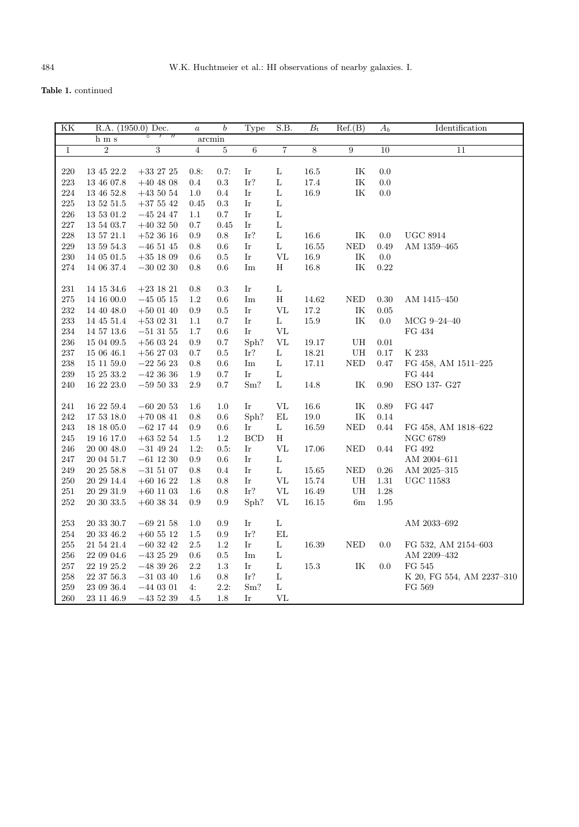| ΚK           | R.A. (1950.0) Dec. |                | $\alpha$       | $\boldsymbol{b}$ | Type                       | S.B.              | $B_{t}$        | Ref.(B)                           | $A_b$           | Identification            |
|--------------|--------------------|----------------|----------------|------------------|----------------------------|-------------------|----------------|-----------------------------------|-----------------|---------------------------|
|              | h m s              | $\circ$        |                | arcmin           |                            |                   |                |                                   |                 |                           |
| $\mathbf{1}$ | $\boldsymbol{2}$   | $\overline{3}$ | $\overline{4}$ | $\bf 5$          | $\,6$                      | $\overline{7}$    | $\overline{8}$ | $\boldsymbol{9}$                  | $\overline{10}$ | 11                        |
|              |                    |                |                |                  |                            |                   |                |                                   |                 |                           |
| 220          | 13 45 22.2         | $+33\ 27\ 25$  | 0.8:           | 0.7:             | Ir                         | L                 | 16.5           | ΙK                                | $0.0\,$         |                           |
| $223\,$      | 13 46 07.8         | $+40\ 48\ 08$  | $0.4\,$        | $\rm 0.3$        | Ir?                        | L                 | $17.4\,$       | $\ensuremath{\text{IK}}\xspace$   | $0.0\,$         |                           |
| 224          | 13 46 52.8         | $+43\ 50\ 54$  | $1.0\,$        | $0.4\,$          | $\mathop{\rm Ir}\nolimits$ | $\mathbf L$       | 16.9           | $\ensuremath{\textsc{IK}}\xspace$ | $0.0\,$         |                           |
| 225          | $13\ 52\ 51.5$     | $+37\ 55\ 42$  | 0.45           | $\rm 0.3$        | $\mathop{\rm Ir}\nolimits$ | $\mathbf L$       |                |                                   |                 |                           |
| 226          | $13\ 53\ 01.2$     | $-45\ 24\ 47$  | 1.1            | $0.7\,$          | Ir                         | L                 |                |                                   |                 |                           |
| 227          | 13 54 03.7         | $+403250$      | $0.7\,$        | 0.45             | $\mathop{\rm Ir}\nolimits$ | $\mathbf L$       |                |                                   |                 |                           |
| 228          | $13\ 57\ 21.1$     | $+52$ 36 16    | 0.9            | $0.8\,$          | Ir?                        | $\mathbf L$       | $16.6\,$       | $\ensuremath{\text{IK}}\xspace$   | $0.0\,$         | $_{\mathrm{UGC}}$ 8914    |
| 229          | $13\ 59\ 54.3$     | $-46\ 51\ 45$  | 0.8            | $0.6\,$          | $\mathop{\rm Ir}\nolimits$ | $\mathbf L$       | $16.55\,$      | $\rm{NED}$                        | 0.49            | $\mathrm{AM}$ 1359–465    |
| 230          | $14\ 05\ 01.5$     | $+35$ 18 09    | 0.6            | $\rm 0.5$        | Ir                         | $\rm{VL}$         | 16.9           | $\ensuremath{\textsc{IK}}\xspace$ | 0.0             |                           |
| 274          | 14 06 37.4         | $-30\ 02\ 30$  | 0.8            | 0.6              | Im                         | $\rm H$           | 16.8           | $\ensuremath{\textsc{IK}}\xspace$ | 0.22            |                           |
|              |                    |                |                |                  |                            |                   |                |                                   |                 |                           |
| 231          | 14 15 34.6         | $+23\ 18\ 21$  | 0.8            | 0.3              | Ir                         | $\mathbf L$       |                |                                   |                 |                           |
| 275          | 14 16 00.0         | $-45\ 05\ 15$  | $1.2\,$        | 0.6              | Im                         | $\rm H$           | 14.62          | $\rm{NED}$                        | 0.30            | AM 1415-450               |
| 232          | 14 40 48.0         | $+50$ 01 40    | $\rm 0.9$      | $0.5\,$          | Ir                         | $\rm{VL}$         | $17.2\,$       | $\ensuremath{\textsc{IK}}\xspace$ | $0.05\,$        |                           |
| 233          | 14 45 51.4         | $+53$ 02 31    | $1.1\,$        | $0.7\,$          | Ir                         | $\mathbf L$       | 15.9           | $\ensuremath{\textsc{IK}}\xspace$ | 0.0             | MCG $9-24-40$             |
| 234          | $14\ 57\ 13.6$     | $-51\ 31\ 55$  | $1.7\,$        | 0.6              | Ir                         | $\rm{VL}$         |                |                                   |                 | FG 434                    |
| 236          | 15 04 09.5         | $+560324$      | 0.9            | $0.7\,$          | Sph?                       | $\rm{VL}$         | 19.17          | ${\rm U}{\rm H}$                  | 0.01            |                           |
| 237          | 15 06 46.1         | $+56$ 27 03    | $0.7\,$        | $\rm 0.5$        | Ir?                        | $\mathbf L$       | 18.21          | ${\rm U}{\rm H}$                  | 0.17            | $\rm K$ 233               |
| 238          | 15 11 59.0         | $-225623$      | 0.8            | $0.6\,$          | Im                         | L                 | 17.11          | $\rm NED$                         | 0.47            | FG 458, AM 1511-225       |
| 239          | $15\ 25\ 33.2$     | $-42\ 36\ 36$  | $1.9\,$        | $0.7\,$          | Ir                         | $\mathbf L$       |                |                                   |                 | FG 444                    |
| 240          | 16 22 23.0         | $-59\ 50\ 33$  | $2.9\,$        | 0.7              | Sm?                        | $\mathbf L$       | 14.8           | IK                                | 0.90            | ESO 137- G27              |
|              |                    |                |                |                  |                            |                   |                |                                   |                 |                           |
| 241          | 16 22 59.4         | $-60\ 20\ 53$  | $1.6\,$        | 1.0              | Ir                         | VL                | 16.6           | $\ensuremath{\mathit{IK}}\xspace$ | 0.89            | FG 447                    |
| 242          | 17 53 18.0         | $+70$ 08 41    | 0.8            | $0.6\,$          | Sph?                       | $\mathbf{EL}$     | $19.0\,$       | $\ensuremath{\textup{IK}}\xspace$ | 0.14            |                           |
| 243          | 18 18 05.0         | $-62$ 17 44    | 0.9            | 0.6              | Ir                         | $\mathbf L$       | 16.59          | $\rm NED$                         | 0.44            | FG 458, AM 1818-622       |
| 245          | 19 16 17.0         | $+63\ 52\ 54$  | $1.5\,$        | 1.2              | BCD                        | $\rm H$           |                |                                   |                 | <b>NGC 6789</b>           |
| 246          | 20 00 48.0         | $-31\ 49\ 24$  | 1.2:           | 0.5:             | Ir                         | VL                | 17.06          | <b>NED</b>                        | 0.44            | FG 492                    |
| 247          | 20 04 51.7         | $-61\ 12\ 30$  | 0.9            | $0.6\,$          | Ir                         | $\mathbf L$       |                |                                   |                 | AM 2004-611               |
| 249          | $20\ 25\ 58.8$     | $-31\ 51\ 07$  | $\rm 0.8$      | 0.4              | Ir                         | $\mathbf L$       | $15.65\,$      | $\rm{NED}$                        | 0.26            | AM 2025-315               |
| 250          | 20 29 14.4         | $+60$ 16 22    | 1.8            | 0.8              | $\mathop{\rm Ir}\nolimits$ | $\rm{VL}$         | $15.74\,$      | ${\rm U}{\rm H}$                  | 1.31            | $UGC$ 11583               |
| $251\,$      | $20\ 29\ 31.9$     | $+60\ 11\ 03$  | 1.6            | 0.8              | $\operatorname{Ir?}$       | $\rm{VL}$         | 16.49          | $\mathbf{U}\mathbf{H}$            | 1.28            |                           |
| 252          | $20\ 30\ 33.5$     | $+60\ 38\ 34$  | 0.9            | $\rm 0.9$        | Sph?                       | VL                | $16.15\,$      | $6\mathrm{m}$                     | $1.95\,$        |                           |
|              |                    |                |                |                  |                            |                   |                |                                   |                 |                           |
| $253\,$      | $20\ 33\ 30.7$     | $-69\ 21\ 58$  | $1.0\,$        | 0.9              | Ir                         | $\mathbf L$       |                |                                   |                 | $\mathrm{AM}$ 2033–692    |
| 254          | $20\ 33\ 46.2$     | $+60$ 55 12    | $1.5\,$        | 0.9              | Ir?                        | $\mathop{\rm EL}$ |                |                                   |                 |                           |
| $255\,$      | $21\ 54\ 21.4$     | $-60\ 32\ 42$  | $2.5\,$        | $1.2\,$          | Ir                         | $\mathbf L$       | $16.39\,$      | <b>NED</b>                        | 0.0             | FG 532, AM 2154-603       |
| $256\,$      | $22\ 09\ 04.6$     | $-43\ 25\ 29$  | $0.6\,$        | 0.5              | Im                         | $\mathbf L$       |                |                                   |                 | AM 2209-432               |
| $257\,$      | $22\ 19\ 25.2$     | $-48\ 39\ 26$  | $2.2\,$        | $1.3\,$          | Ir                         | L                 | $15.3\,$       | $\ensuremath{\textsc{IK}}\xspace$ | 0.0             | FG 545                    |
| 258          | $22\ 37\ 56.3$     | $-31\ 03\ 40$  | 1.6            | 0.8              | $\operatorname{Ir?}$       | $\mathbf L$       |                |                                   |                 | K 20, FG 554, AM 2237-310 |
| 259          | $23\ 09\ 36.4$     | $-44$ 03 01    | 4:             | 2.2:             | Sm?                        | $\mathbf L$       |                |                                   |                 | $\rm FG$ 569              |
| 260          | $23\ 11\ 46.9$     | $-435239$      | 4.5            | 1.8              | Ir                         | VL                |                |                                   |                 |                           |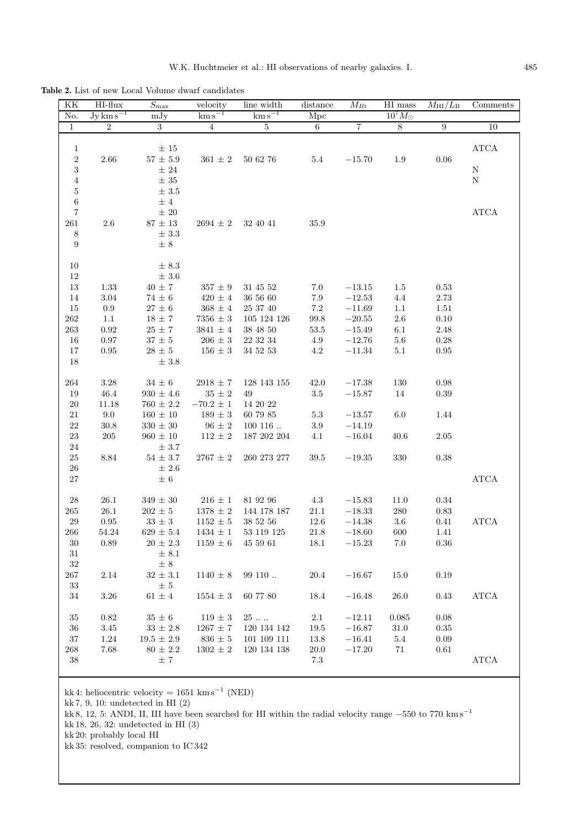**Table 2.** List of new Local Volume dwarf candidates

| ΚK                             | $HI$ -flux           | $S_{\rm max}$             | velocity              | line width                                   | distance        | $\overline{M}_{B\mathrm{t}}$ | HI mass          | $M_{\rm HI}/L_{\rm B}$ | Comments              |
|--------------------------------|----------------------|---------------------------|-----------------------|----------------------------------------------|-----------------|------------------------------|------------------|------------------------|-----------------------|
| No.                            | $\rm Jy\,km\,s^{-1}$ | mJy                       | $\mathrm{km\,s}^{-1}$ | $\mathrm{km\,s}^{-1}$                        | Mpc             |                              | $10^7 M_{\odot}$ |                        |                       |
| $\mathbf 1$                    | $\boldsymbol{2}$     | $\overline{3}$            | $\sqrt{4}$            | $\overline{5}$                               | $6\overline{6}$ | $\overline{7}$               | $\overline{8}$   | $\boldsymbol{9}$       | 10                    |
| $\mathbf{1}$                   |                      | $\pm$ 15                  |                       |                                              |                 |                              |                  |                        | $\operatorname{ATCA}$ |
| $\,2$                          | $2.66\,$             | $57\,\pm\,5.9$            | $361\,\pm\,2$         | 50 62 76                                     | 5.4             | $-15.70$                     | 1.9              | 0.06                   |                       |
| $\,3$                          |                      | $\pm$ 24                  |                       |                                              |                 |                              |                  |                        | $\mathbf N$           |
| $\,4\,$                        |                      | $\pm$ 35                  |                       |                                              |                 |                              |                  |                        | ${\bf N}$             |
| $\bf 5$                        |                      | $\pm$ 3.5                 |                       |                                              |                 |                              |                  |                        |                       |
| $\,6\,$                        |                      | ±4                        |                       |                                              |                 |                              |                  |                        |                       |
| $\,7$                          |                      | $\pm$ 20                  |                       |                                              |                 |                              |                  |                        | $\operatorname{ATCA}$ |
| 261                            | 2.6                  | $87 \pm 13$               | $2694 \pm 2$          | 32 40 41                                     | 35.9            |                              |                  |                        |                       |
| 8                              |                      | $\pm$ 3.3                 |                       |                                              |                 |                              |                  |                        |                       |
| $\boldsymbol{9}$               |                      | $\pm$ 8                   |                       |                                              |                 |                              |                  |                        |                       |
|                                |                      |                           |                       |                                              |                 |                              |                  |                        |                       |
| $10\,$                         |                      | $\pm$ 8.3                 |                       |                                              |                 |                              |                  |                        |                       |
| $12\,$                         |                      | $\pm$ 3.6                 |                       |                                              |                 |                              |                  |                        |                       |
| 13                             | 1.33                 | $40\,\pm\,7$              | $357 \pm 9$           | 31 45 52                                     | 7.0             | $-13.15$                     | 1.5              | $\rm 0.53$             |                       |
| 14                             | 3.04                 | $74\,\pm\,6$              | $420\,\pm\,4$         | 36 56 60                                     | $7.9\,$         | $-12.53$                     | 4.4              | 2.73                   |                       |
| 15                             | $\rm 0.9$            | $27\,\pm\,6$              | $368 \pm 4$           | 25 37 40                                     | $7.2\,$         | $-11.69$                     | 1.1              | 1.51                   |                       |
| $262\,$                        | $1.1\,$              | $18\,\pm\,7$              | $7356\,\pm\,3$        | 105 124 126                                  | 99.8            | $-20.55$                     | 2.6              | 0.10                   |                       |
| $263\,$                        | 0.92                 | $25\,\pm\,7$              | $3841\,\pm\,4$        | 38 48 50                                     | 53.5            | $-15.49$                     | 6.1              | 2.48                   |                       |
| 16                             | 0.97                 | $37\,\pm\,5$              | $206\,\pm\,3$         | 22 32 34                                     | 4.9             | $-12.76$                     | $5.6\,$          | $0.28\,$               |                       |
| 17                             | 0.95                 | $28\,\pm\,5$              | $156\,\pm\,3$         | $34\ 52\ 53$                                 | 4.2             | $-11.34$                     | $5.1\,$          | $\rm 0.95$             |                       |
| 18                             |                      | $\pm$ 3.8                 |                       |                                              |                 |                              |                  |                        |                       |
|                                |                      |                           |                       |                                              |                 |                              |                  |                        |                       |
| 264                            | $3.28\,$             | $34\,\pm\,6$              | $2918\,\pm\,7$        | 128 143 155                                  | 42.0            | $-17.38$                     | 130              | 0.98                   |                       |
| 19                             | $46.4\,$             | $930\,\pm\,4.6$           | $35\,\pm\,2$          | 49                                           | $3.5\,$         | $-15.87$                     | 14               | 0.39                   |                       |
| 20                             | 11.18                | $760 \pm 2.2$             | $-70.2$ $\pm$ $1$     | 14 20 22                                     |                 |                              |                  |                        |                       |
| $21\,$                         | $9.0\,$              | $160 \pm 10$              | $189\,\pm\,3$         | 60 79 85                                     | $5.3\,$         | $-13.57$                     | 6.0              | 1.44                   |                       |
| $22\,$                         | 30.8                 | $330 \pm 30$              | $96\,\pm\,2$          | 100116                                       | $3.9\,$         | $-14.19$                     |                  |                        |                       |
| $23\,$                         | 205                  | $960\,\pm\,10$            | $112\,\pm\,2$         | 187 202 204                                  | 4.1             | $-16.04$                     | 40.6             | $2.05\,$               |                       |
| $24\,$                         |                      | $\pm$ 3.7                 |                       |                                              |                 |                              |                  |                        |                       |
| $25\,$                         | 8.84                 | $54 \pm 3.7$              | $2767\,\pm\,2$        | 260 273 277                                  | 39.5            | $-19.35$                     | 330              | 0.38                   |                       |
| 26                             |                      | ± 2.6                     |                       |                                              |                 |                              |                  |                        |                       |
| 27                             |                      | $\pm$ 6                   |                       |                                              |                 |                              |                  |                        | ${\bf ATCA}$          |
|                                |                      |                           |                       |                                              |                 |                              |                  |                        |                       |
| $\ensuremath{\mathnormal{28}}$ | 26.1                 | $349\,\pm\,30$            | $216\,\pm\,1$         | 81 92 96                                     | 4.3             | $-15.83$                     | 11.0             | $\rm 0.34$             |                       |
| 265                            | 26.1                 | $202 \pm 5$               | $1378\,\pm\,2$        | 144 178 187                                  | $21.1\,$        | $-18.33$                     | 280              | $\rm 0.83$             |                       |
| $29\,$                         | 0.95                 | $33\,\pm\,3$              | $1152 \pm 5$          | 38 52 56                                     | 12.6            | $-14.38$                     | 3.6              | 0.41                   | <b>ATCA</b>           |
| $266\,$                        | $54.24\,$            | $629 \pm 5.4$             |                       | $1434 \,\pm\, 1 \quad \  53\,\, 119\,\, 125$ | 21.8            | $-18.60$                     | $600\,$          | 1.41                   |                       |
| 30                             | 0.89                 | $20 \pm 2.3$              | $1159 \pm 6$          | 45 59 61                                     | 18.1            | $-15.23$                     | 7.0              | 0.36                   |                       |
| $31\,$                         |                      | $\pm 8.1$                 |                       |                                              |                 |                              |                  |                        |                       |
| $32\,$                         |                      | $\pm$ 8<br>$32\,\pm\,3.1$ |                       |                                              |                 |                              |                  |                        |                       |
| 267                            | 2.14                 |                           | $1140 \pm 8$          | 99110                                        | 20.4            | $-16.67$                     | 15.0             | 0.19                   |                       |
| $33\,$<br>$34\,$               | $3.26\,$             | $\pm$ 5<br>$61\,\pm\,4$   |                       |                                              | $18.4\,$        | $-16.48$                     | $26.0\,$         |                        | $\operatorname{ATCA}$ |
|                                |                      |                           | $1554 \pm 3$          | 60 77 80                                     |                 |                              |                  | 0.43                   |                       |
| $35\,$                         | 0.82                 | $35\,\pm\,6$              | $119\pm3$             | 25                                           | $2.1\,$         | $-12.11$                     | 0.085            | 0.08                   |                       |
| $36\,$                         | $3.45\,$             | $33\,\pm\,2.8$            | $1267 \pm 7$          | 120 134 142                                  | $19.5\,$        | $-16.87$                     | 31.0             | $0.35\,$               |                       |
| $37\,$                         | $1.24\,$             | $19.5$ $\pm$ $2.9$        | $836 \pm 5$           | $101\ 109\ 111$                              | 13.8            | $-16.41$                     | 5.4              | $0.09\,$               |                       |
| 268                            | 7.68                 | $80 \pm 2.2$              | $1302\,\pm\,2$        | 120 134 138                                  | <b>20.0</b>     | $-17.20$                     | 71               | 0.61                   |                       |
| $38\,$                         |                      | $\pm$ 7                   |                       |                                              | $7.3\,$         |                              |                  |                        | ${\bf ATCA}$          |
|                                |                      |                           |                       |                                              |                 |                              |                  |                        |                       |

kk 4: heliocentric velocity =  $1651 \text{ km s}^{-1}$  (NED)

kk 7, 9, 10: undetected in HI (2)

kk 8, 12, 5: ANDI, II, III have been searched for HI within the radial velocity range <sup>−</sup>550 to 770 km s−<sup>1</sup>

kk 18, 26, 32: undetected in HI (3)

kk 20: probably local HI

kk 35: resolved, companion to IC 342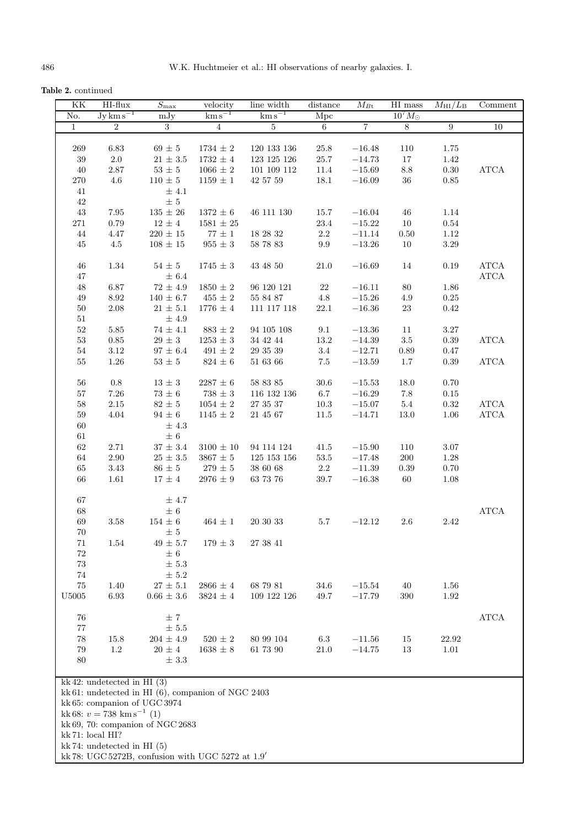**Table 2.** continued

| KK               | HI-flux                                 | $\overline{S_{\max}}$                                    | velocity              | line width            | $\overline{\text{distance}}$ | $\overline{M}_{B\text{t}}$ | $\rm HI$ mass    | $M_{\rm HI}/L_{\rm B}$ | $\overline{\text{Comment}}$ |  |  |  |
|------------------|-----------------------------------------|----------------------------------------------------------|-----------------------|-----------------------|------------------------------|----------------------------|------------------|------------------------|-----------------------------|--|--|--|
| No.              | $Jy \, \text{km} \, \text{s}^{-1}$      | mJy                                                      | $\mathrm{km\,s}^{-1}$ | $\mathrm{km\,s}^{-1}$ | Mpc                          |                            | $10^7 M_{\odot}$ |                        |                             |  |  |  |
| $\mathbf{1}$     | $\overline{2}$                          | 3                                                        | $\overline{4}$        | 5                     | 6                            | $\overline{7}$             | $8\,$            | $\boldsymbol{9}$       | 10                          |  |  |  |
|                  |                                         |                                                          |                       |                       |                              |                            |                  |                        |                             |  |  |  |
| 269              | 6.83                                    | $69 \pm 5$                                               | $1734\,\pm\,2$        | 120 133 136           | 25.8                         | $-16.48$                   | 110              | 1.75                   |                             |  |  |  |
| $39\,$           | $2.0\,$                                 | $21\,\pm\,3.5$                                           | $1732\,\pm\,4$        | 123 125 126           | 25.7                         | $-14.73$                   | 17               | 1.42                   |                             |  |  |  |
| 40               | $2.87\,$                                | $53\,\pm\,5$                                             | $1066 \pm 2$          | 101 109 112           | $11.4\,$                     | $-15.69$                   | $\!\!\!\!\!8.8$  | 0.30                   | $\operatorname{ATCA}$       |  |  |  |
| $270\,$          | 4.6                                     | $110 \pm 5$                                              | $1159 \pm 1$          | 42 57 59              | 18.1                         | $-16.09$                   | $36\,$           | $0.85\,$               |                             |  |  |  |
| 41               |                                         | $±$ 4.1                                                  |                       |                       |                              |                            |                  |                        |                             |  |  |  |
| $42\,$           |                                         | $\pm$ 5                                                  |                       |                       |                              |                            |                  |                        |                             |  |  |  |
| $43\,$           | $7.95\,$                                | $135\,\pm\,26$                                           | $1372 \pm 6$          | 46 111 130            | 15.7                         | $-16.04$                   | 46               | 1.14                   |                             |  |  |  |
| $271\,$          | 0.79                                    | $12 \pm 4$                                               | $1581 \pm 25$         |                       | 23.4                         | $-15.22\,$                 | 10               | 0.54                   |                             |  |  |  |
| $44\,$           | 4.47                                    | $220 \pm 15$                                             | $77~{\pm}~1$          | 18 28 32              | $2.2\,$                      | $-11.14$                   | 0.50             | 1.12                   |                             |  |  |  |
| 45               | 4.5                                     | $108 \pm 15$                                             | $955 \pm 3$           | 58 78 83              | 9.9                          | $-13.26$                   | 10               | 3.29                   |                             |  |  |  |
|                  |                                         |                                                          |                       |                       |                              |                            |                  |                        |                             |  |  |  |
| 46               | 1.34                                    | $54 \pm 5$                                               | $1745\,\pm\,3$        | 43 48 50              | 21.0                         | $-16.69$                   | 14               | 0.19                   | ${\bf ATCA}$                |  |  |  |
| 47               |                                         | ± 6.4                                                    |                       |                       |                              |                            |                  |                        | $\operatorname{ATCA}$       |  |  |  |
| 48               | $6.87\,$                                | $72\,\pm\,4.9$                                           | $1850\,\pm\,2$        | 96 120 121            | 22                           | $-16.11$                   | 80               | 1.86                   |                             |  |  |  |
| 49               | $8.92\,$                                | $140 \pm 6.7$                                            | $455 \pm 2$           | 55 84 87              | $4.8\,$                      | $-15.26$                   | 4.9              | $0.25\,$               |                             |  |  |  |
| 50               | 2.08                                    | $21 \pm 5.1$                                             | $1776 \pm 4$          | 111 117 118           | 22.1                         | $-16.36$                   | 23               | 0.42                   |                             |  |  |  |
| $51\,$           |                                         | $\pm$ 4.9                                                |                       |                       |                              |                            |                  |                        |                             |  |  |  |
| $52\,$           | $5.85\,$                                | $74\,\pm\,4.1$                                           | $883\,\pm\,2$         | 94 105 108            | 9.1                          | $-13.36$                   | 11               | $3.27\,$               |                             |  |  |  |
| $53\,$           | 0.85                                    | $29 \pm 3$                                               | $1253\,\pm\,3$        | 34 42 44              | 13.2                         | $-14.39$                   | $3.5\,$          | 0.39                   | $\operatorname{ATCA}$       |  |  |  |
| 54               | $3.12\,$                                | $97 \pm 6.4$                                             | $491\,\pm\,2$         | 29 35 39              | 3.4                          | $-12.71$                   | $0.89\,$         | 0.47                   |                             |  |  |  |
| 55               | $1.26\,$                                | $53\,\pm\,5$                                             | $824\,\pm\,6$         | 51 63 66              | 7.5                          | $-13.59$                   | $1.7\,$          | $0.39\,$               | ${\bf ATCA}$                |  |  |  |
|                  |                                         |                                                          |                       |                       |                              |                            |                  |                        |                             |  |  |  |
| 56               | $0.8\,$                                 | $13\,\pm\,3$                                             | $2287 \pm 6$          | 58 83 85              | $30.6\,$                     | $-15.53$                   | 18.0             | $0.70\,$               |                             |  |  |  |
| 57               | $7.26\,$                                | $73\,\pm\,6$                                             | $738 \pm 3$           | 116 132 136           | 6.7                          | $-16.29$                   | 7.8              | $0.15\,$               |                             |  |  |  |
| $58\,$           | $2.15\,$                                | $82\,\pm\,5$                                             | $1054\,\pm\,2$        | 27 35 37              | $10.3\,$                     | $-15.07$                   | $5.4\,$          | $0.32\,$               | ${\bf ATCA}$                |  |  |  |
| $59\,$           | 4.04                                    | $94\,\pm\,6$                                             | $1145 \pm 2$          | $21\ 45\ 67$          | 11.5                         | $-14.71$                   | $13.0\,$         | 1.06                   | ${\bf ATCA}$                |  |  |  |
| 60               |                                         | $\pm$ 4.3                                                |                       |                       |                              |                            |                  |                        |                             |  |  |  |
| 61               |                                         | $\pm$ 6                                                  |                       |                       |                              |                            |                  |                        |                             |  |  |  |
| $62\,$           | $2.71\,$                                | $37\,\pm\,3.4$                                           | $3100 \pm 10$         | 94 114 124            | 41.5                         | $-15.90$                   | 110              | $3.07\,$               |                             |  |  |  |
| 64               | $2.90\,$                                | $25\,\pm\,3.5$                                           | $3867\,\pm\,5$        | 125 153 156           | $53.5\,$                     | $-17.48$                   | $200\,$          | 1.28                   |                             |  |  |  |
| 65               | 3.43                                    | $86\,\pm\,5$                                             | $279\,\pm\,5$         | 38 60 68              | $2.2\,$                      | $-11.39$                   | 0.39             | 0.70                   |                             |  |  |  |
| 66               | 1.61                                    | $17 \pm 4$                                               | 2976 $\pm$ 9          | 63 73 76              | 39.7                         | $-16.38$                   | 60               | 1.08                   |                             |  |  |  |
|                  |                                         |                                                          |                       |                       |                              |                            |                  |                        |                             |  |  |  |
| 67               |                                         | $\pm$ 4.7                                                |                       |                       |                              |                            |                  |                        |                             |  |  |  |
| $68\,$           |                                         | $\pm$ 6                                                  |                       |                       |                              |                            |                  |                        | $\operatorname{ATCA}$       |  |  |  |
| $69\,$           | $3.58\,$                                | $154 \pm 6$                                              | $464 \pm 1$           | 20 30 33              | 5.7                          | $-12.12$                   | $2.6\,$          | 2.42                   |                             |  |  |  |
| $70\,$           |                                         | $\pm$ 5                                                  |                       |                       |                              |                            |                  |                        |                             |  |  |  |
| 71               | 1.54                                    | $49 \pm 5.7$                                             | $179 \pm 3$           | 27 38 41              |                              |                            |                  |                        |                             |  |  |  |
| 72               |                                         | $\pm$ 6                                                  |                       |                       |                              |                            |                  |                        |                             |  |  |  |
| $73\,$           |                                         | $\pm$ 5.3                                                |                       |                       |                              |                            |                  |                        |                             |  |  |  |
| $74\,$           |                                         | $\pm$ 5.2                                                |                       |                       |                              |                            |                  |                        |                             |  |  |  |
| $75\,$           | 1.40                                    | $27\,\pm\,5.1$                                           | $2866\,\pm\,4$        | 68 79 81              | 34.6                         | $-15.54$                   | 40               | 1.56                   |                             |  |  |  |
| ${\rm U}5005$    | 6.93                                    | $0.66 \pm 3.6$                                           | $3824 \pm 4$          | 109 122 126           | 49.7                         | $-17.79$                   | 390              | 1.92                   |                             |  |  |  |
|                  |                                         |                                                          |                       |                       |                              |                            |                  |                        |                             |  |  |  |
| 76               |                                         | ±7                                                       |                       |                       |                              |                            |                  |                        | <b>ATCA</b>                 |  |  |  |
| 77               |                                         | ± 5.5                                                    |                       |                       |                              |                            |                  |                        |                             |  |  |  |
| 78               | 15.8                                    | $204 \pm 4.9$                                            | $520 \pm 2$           | 80 99 104             | $6.3\,$                      | $-11.56$                   | 15               | 22.92                  |                             |  |  |  |
| 79               | 1.2                                     | $20 \pm 4$                                               | $1638\,\pm\,8$        | 61 73 90              | 21.0                         | $-14.75$                   | $13\,$           | 1.01                   |                             |  |  |  |
|                  | 80<br>$\pm$ 3.3                         |                                                          |                       |                       |                              |                            |                  |                        |                             |  |  |  |
|                  |                                         |                                                          |                       |                       |                              |                            |                  |                        |                             |  |  |  |
|                  | kk 42: undetected in HI $(3)$           |                                                          |                       |                       |                              |                            |                  |                        |                             |  |  |  |
|                  |                                         | kk $61$ : undetected in HI $(6)$ , companion of NGC 2403 |                       |                       |                              |                            |                  |                        |                             |  |  |  |
|                  | kk 65: companion of UGC 3974            |                                                          |                       |                       |                              |                            |                  |                        |                             |  |  |  |
|                  | kk 68: $v = 738$ km s <sup>-1</sup> (1) |                                                          |                       |                       |                              |                            |                  |                        |                             |  |  |  |
|                  |                                         | kk 69, 70: companion of NGC 2683                         |                       |                       |                              |                            |                  |                        |                             |  |  |  |
| kk 71: local HI? |                                         |                                                          |                       |                       |                              |                            |                  |                        |                             |  |  |  |
|                  | kk 74: undetected in HI $(5)$           |                                                          |                       |                       |                              |                            |                  |                        |                             |  |  |  |
|                  |                                         | kk 78: UGC 5272B, confusion with UGC 5272 at 1.9'        |                       |                       |                              |                            |                  |                        |                             |  |  |  |
|                  |                                         |                                                          |                       |                       |                              |                            |                  |                        |                             |  |  |  |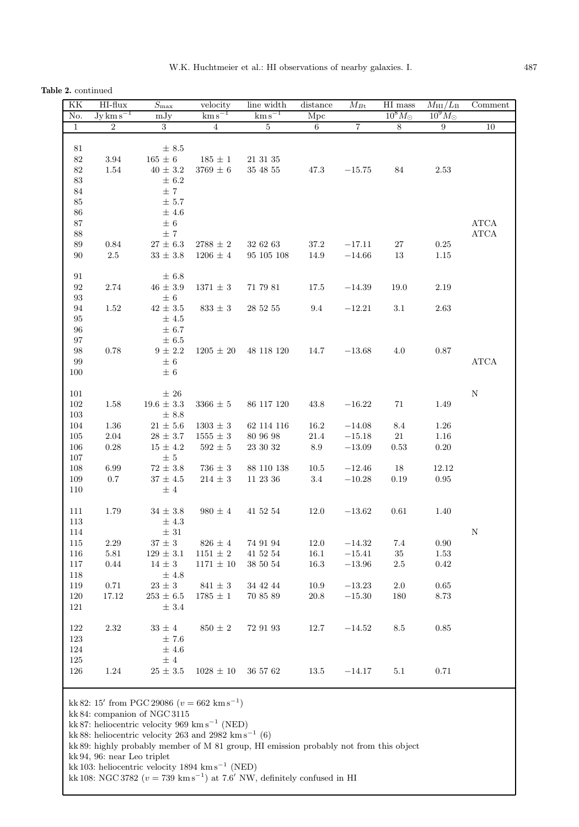**Table 2.** continued

| KK<br>No.                                      | HI-flux<br>$Jy \, \text{km} \, \text{s}^{-1}$ | $S_{\rm max}$<br>mJy                                            | velocity<br>$\mathrm{km\,s}^{-1}$ | line width<br>$\mathrm{km\,s}^{-1}$ | distance<br>Mpc | $M_{B{\rm t}}$ | HI mass<br>$10^8 M_{\odot}$ | $M_{\rm HI}/L_{\rm B}$<br>$10^9 M_{\odot}$ | Comment                                        |
|------------------------------------------------|-----------------------------------------------|-----------------------------------------------------------------|-----------------------------------|-------------------------------------|-----------------|----------------|-----------------------------|--------------------------------------------|------------------------------------------------|
| $\mathbf{1}$                                   | $\overline{2}$                                | 3                                                               | $\overline{4}$                    | $\overline{5}$                      | $\,6\,$         | 7              | $\overline{8}$              | 9                                          | 10                                             |
|                                                |                                               |                                                                 |                                   |                                     |                 |                |                             |                                            |                                                |
| $81\,$<br>$82\,$<br>$82\,$<br>$83\,$<br>$84\,$ | $3.94\,$<br>1.54                              | $\pm 8.5$<br>$165\,\pm\,6$<br>$40\,\pm\,3.2$<br>$\pm$ 6.2<br>±7 | $185\,\pm\,1$<br>$3769\,\pm\,6$   | $21\ 31\ 35$<br>$35\ 48\ 55$        | 47.3            | $-15.75$       | 84                          | $2.53\,$                                   |                                                |
| $85\,$<br>$86\,$<br>$87\,$<br>$88\,$           |                                               | $\pm$ 5.7<br>$\pm$ 4.6<br>$\pm$ 6<br>$\pm$ 7                    |                                   |                                     |                 |                |                             |                                            | $\operatorname{ATCA}$<br>$\operatorname{ATCA}$ |
| $89\,$                                         | 0.84                                          | $27 \pm 6.3$                                                    | $2788\,\pm\,2$                    | 32 62 63                            | 37.2            | $-17.11$       | 27                          | $0.25\,$                                   |                                                |
| $90\,$                                         | 2.5                                           | $33 \pm 3.8$                                                    | $1206 \pm 4$                      | 95 105 108                          | 14.9            | $-14.66$       | 13                          | 1.15                                       |                                                |
| $\rm 91$<br>$\rm 92$<br>$\boldsymbol{93}$      | 2.74                                          | $\pm$ 6.8<br>$46\,\pm\,3.9$<br>$\pm$ 6                          | $1371 \pm 3$                      | 71 79 81                            | 17.5            | $-14.39\,$     | 19.0                        | 2.19                                       |                                                |
| $94\,$<br>$\rm 95$<br>$96\,$                   | 1.52                                          | $42\,\pm\,3.5$<br>±4.5<br>$\pm$ 6.7                             | $833\,\pm\,3$                     | 28 52 55                            | 9.4             | $-12.21$       | 3.1                         | $2.63\,$                                   |                                                |
| $\rm 97$<br>$98\,$<br>99<br>$100\,$            | 0.78                                          | $\pm$ 6.5<br>$9\,\pm\,2.2$<br>$\pm$ 6<br>$\pm$ 6                |                                   | $1205 \pm 20$ 48 118 120            | 14.7            | $-13.68$       | 4.0                         | $0.87\,$                                   | $\operatorname{ATCA}$                          |
| $101\,$<br>$102\,$                             | 1.58                                          | $\pm$ 26<br>$19.6\,\pm\,3.3$                                    | $3366 \pm 5$                      | 86 117 120                          | 43.8            | $-16.22$       | 71                          | 1.49                                       | ${\bf N}$                                      |
| 103<br>104                                     | $1.36\,$                                      | $\pm$ 8.8<br>$21\,\pm\,5.6$                                     | $1303\,\pm\,3$                    | 62 114 116                          | 16.2            | $-14.08$       | $8.4\,$                     | $1.26\,$                                   |                                                |
| $105\,$                                        | 2.04                                          | $28 \pm 3.7$                                                    | $1555\,\pm\,3$                    | 80 96 98                            | $21.4\,$        | $-15.18$       | $21\,$                      | $1.16\,$                                   |                                                |
| 106<br>$107\,$                                 | $0.28\,$                                      | $15 \pm 4.2$<br>$\pm$ 5                                         | $592\,\pm\,5$                     | 23 30 32                            | $\ \, 8.9$      | $-13.09$       | 0.53                        | $0.20\,$                                   |                                                |
| 108                                            | 6.99                                          | $72\,\pm\,3.8$                                                  | $736 \pm 3$                       | 88 110 138                          | $10.5\,$        | $-12.46$       | 18                          | 12.12                                      |                                                |
| 109<br>110                                     | $0.7\,$                                       | $37 \pm 4.5$<br>$\pm$ 4                                         | $214\,\pm\,3$                     | 11 23 36                            | $3.4\,$         | $-10.28$       | 0.19                        | 0.95                                       |                                                |
| 111<br>113<br>$114\,$                          | 1.79                                          | $34\,\pm\,3.8$<br>$\pm$ 4.3<br>$\pm$ 31                         | $980 \pm 4$                       | 41 52 54                            | 12.0            | $-13.62$       | 0.61                        | 1.40                                       | Ν                                              |
| 115                                            | 2.29                                          | $37 \pm 3$                                                      | $826 \pm 4$                       | 74 91 94                            | 12.0            | $-14.32$       | 7.4                         | 0.90                                       |                                                |
| 116                                            | 5.81                                          | $129\,\pm\,3.1$                                                 | $1151 \pm 2$                      | 41 52 54                            | $16.1\,$        | $-15.41$       | $35\,$                      | 1.53                                       |                                                |
| 117<br>118                                     | 0.44                                          | $14 \pm 3$<br>±4.8                                              | $1171 \pm 10$                     | 38 50 54                            | 16.3            | $-13.96$       | 2.5                         | $0.42\,$                                   |                                                |
| 119                                            | $0.71\,$                                      | $23\,\pm\,3$                                                    | $841\,\pm\,3$                     | $34\ 42\ 44$                        | $10.9\,$        | $-13.23$       | $2.0\,$                     | $\,0.65\,$                                 |                                                |
| $120\,$<br>$121\,$                             | 17.12                                         | $253 \pm 6.5$<br>$\pm$ 3.4                                      | $1785 \pm 1$                      | 70 85 89                            | $20.8\,$        | $-15.30$       | 180                         | $8.73\,$                                   |                                                |
| 122<br>123<br>124<br>125                       | 2.32                                          | $33 \pm 4$<br>±7.6<br>$\pm$ 4.6<br>$\pm$ 4                      | $850 \pm 2$                       | 72 91 93                            | $12.7\,$        | $-14.52$       | 8.5                         | 0.85                                       |                                                |
| 126                                            | 1.24                                          | $25\,\pm\,3.5$                                                  | $1028 \pm 10$                     | 36 57 62                            | 13.5            | $-14.17$       | 5.1                         | 0.71                                       |                                                |
|                                                |                                               | kk 82: 15' from PGC 29086 $(v = 662 \text{ km s}^{-1})$         |                                   |                                     |                 |                |                             |                                            |                                                |

kk 84: companion of NGC 3115 kk 87: heliocentric velocity 969 km s<sup>-1</sup> (NED)

kk 88: heliocentric velocity 263 and 2982 km s<sup>-1</sup> (6)

kk 89: highly probably member of M 81 group, HI emission probably not from this object

kk 94, 96: near Leo triplet

kk 103: heliocentric velocity 1894 km s<sup>-1</sup> (NED)

kk 108: NGC 3782 ( $v = 739 \text{ km s}^{-1}$ ) at 7.6' NW, definitely confused in HI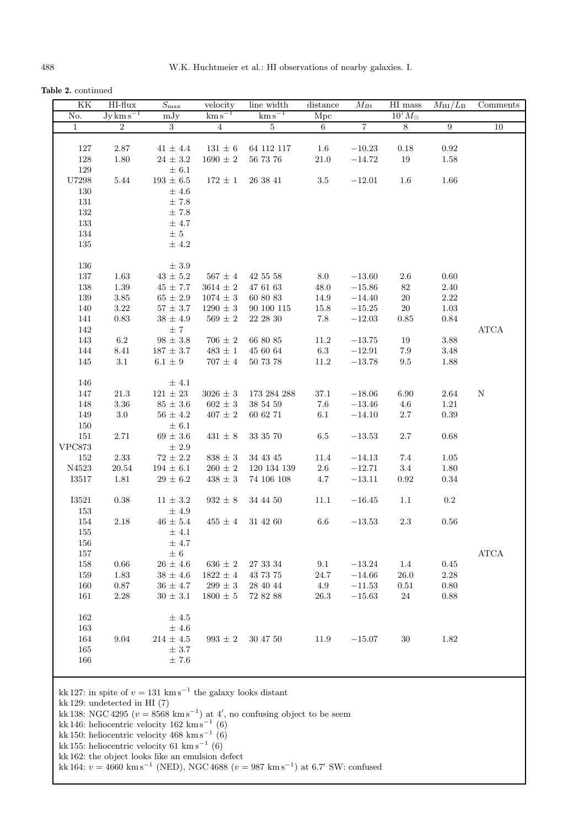**Table 2.** continued

| KK           | HI-flux                            | $S_{\rm max}$                                                             | velocity              | line width                                                                               | distance        | $M_{B{\rm t}}$ | HI mass          | $\overline{M}_{\rm HI}/L_{\rm B}$ | Comments    |
|--------------|------------------------------------|---------------------------------------------------------------------------|-----------------------|------------------------------------------------------------------------------------------|-----------------|----------------|------------------|-----------------------------------|-------------|
| No.          | $Jy \, \text{km} \, \text{s}^{-1}$ | mJy                                                                       | $\mathrm{km\,s}^{-1}$ | $\mathrm{km\,s}^{-1}$                                                                    | Mpc             |                | $10^7 M_{\odot}$ |                                   |             |
| $\mathbf{1}$ | $\overline{2}$                     | 3                                                                         | $\overline{4}$        | $\overline{5}$                                                                           | $6\phantom{.}$  | $\overline{7}$ | 8 <sup>2</sup>   | $9\phantom{.0}$                   | 10          |
|              |                                    |                                                                           |                       |                                                                                          |                 |                |                  |                                   |             |
| 127          | $2.87\,$                           | $41\,\pm\,4.4$                                                            | $131\,\pm\,6$         | 64 112 117                                                                               | $1.6\,$         | $-10.23$       | 0.18             | 0.92                              |             |
| 128          | 1.80                               | $24 \pm 3.2$                                                              | $1690\,\pm\,2$        | 56 73 76                                                                                 | 21.0            | $-14.72$       | 19               | 1.58                              |             |
| $129\,$      |                                    | $\pm$ 6.1                                                                 |                       |                                                                                          |                 |                |                  |                                   |             |
| $\rm U7298$  | $5.44\,$                           | $193\,\pm\,6.5$                                                           | $172 \pm 1$           | 26 38 41                                                                                 | $3.5\,$         | $-12.01$       | 1.6              | 1.66                              |             |
| 130          |                                    | ±4.6                                                                      |                       |                                                                                          |                 |                |                  |                                   |             |
| 131          |                                    | $\pm$ 7.8                                                                 |                       |                                                                                          |                 |                |                  |                                   |             |
| 132          |                                    | ±7.8                                                                      |                       |                                                                                          |                 |                |                  |                                   |             |
| 133          |                                    | ±4.7                                                                      |                       |                                                                                          |                 |                |                  |                                   |             |
| 134          |                                    | $\pm$ 5                                                                   |                       |                                                                                          |                 |                |                  |                                   |             |
| 135          |                                    | $\pm$ 4.2                                                                 |                       |                                                                                          |                 |                |                  |                                   |             |
|              |                                    |                                                                           |                       |                                                                                          |                 |                |                  |                                   |             |
| 136          |                                    | $\pm$ 3.9 $\,$                                                            |                       |                                                                                          |                 |                |                  |                                   |             |
| $137\,$      | 1.63                               | $43\,\pm\,5.2$                                                            | $567 \pm 4$           | 42 55 58                                                                                 | $\!\!\!\!\!8.0$ | $-13.60$       | $2.6\,$          | 0.60                              |             |
| $138\,$      | $1.39\,$                           | $45 \pm 7.7$                                                              | $3614 \pm 2$          | 47 61 63                                                                                 | 48.0            | $-15.86$       | 82               | 2.40                              |             |
| 139          | $3.85\,$                           | $65\,\pm\,2.9$                                                            | $1074 \pm 3$          | 60 80 83                                                                                 | 14.9            | $-14.40$       | $20\,$           | $2.22\,$                          |             |
| 140          | $3.22\,$                           | $57\,\pm\,3.7$                                                            | $1290 \pm 3$          | 90 100 115                                                                               | 15.8            | $-15.25$       | <b>20</b>        | 1.03                              |             |
| 141          | 0.83                               | $38\,\pm\,4.9$                                                            | $569 \pm 2$           | 22 28 30                                                                                 | 7.8             | $-12.03$       | 0.85             | 0.84                              |             |
| 142          |                                    | ±7                                                                        |                       |                                                                                          |                 |                |                  |                                   | ATCA        |
| $143\,$      | $6.2\,$                            | $98\,\pm\,3.8$                                                            | $706\,\pm\,2$         | 66 80 85                                                                                 | $11.2\,$        | $-13.75$       | 19               | $3.88\,$                          |             |
| 144          | $8.41\,$                           | $187\,\pm\,3.7$                                                           | $483\,\pm\,1$         | 45 60 64                                                                                 | $6.3\,$         | $-12.91$       | 7.9              | $3.48\,$                          |             |
| 145          | 3.1                                | $6.1 \pm 9$                                                               | $707\,\pm\,4$         | $50\ 73\ 78$                                                                             | 11.2            | $-13.78$       | 9.5              | 1.88                              |             |
| 146          |                                    | $\pm$ 4.1                                                                 |                       |                                                                                          |                 |                |                  |                                   |             |
| 147          | $21.3\,$                           | $121\,\pm\,23$                                                            | $3026\,\pm\,3$        | 173 284 288                                                                              | 37.1            | $-18.06$       | 6.90             | $2.64\,$                          | N           |
| 148          | $3.36\,$                           | $85\,\pm\,3.6$                                                            | $602 \pm 3$           | 38 54 59                                                                                 | $7.6\,$         | $-13.46$       | $4.6\,$          | $1.21\,$                          |             |
| 149          | $3.0\,$                            | $56\,\pm\,4.2$                                                            | $407 \pm 2$           | 60 62 71                                                                                 | 6.1             | $-14.10$       | $2.7\,$          | 0.39                              |             |
| 150          |                                    | $\pm$ 6.1                                                                 |                       |                                                                                          |                 |                |                  |                                   |             |
| 151          | 2.71                               | $69 \pm 3.6$                                                              | $431 \pm 8$           | 33 35 70                                                                                 | $6.5\,$         | $-13.53$       | $2.7\,$          | 0.68                              |             |
| $\rm VPC873$ |                                    | $\pm$ 2.9                                                                 |                       |                                                                                          |                 |                |                  |                                   |             |
| 152          | $2.33\,$                           | $72\,\pm\,2.2$                                                            | $838\,\pm\,3$         | 34 43 45                                                                                 | 11.4            | $-14.13$       | 7.4              | 1.05                              |             |
| N4523        | 20.54                              | $194\,\pm\,6.1$                                                           | $260 \pm 2$           | 120 134 139                                                                              | $2.6\,$         | $-12.71$       | 3.4              | 1.80                              |             |
| I3517        | $1.81\,$                           | $29\,\pm\,6.2$                                                            | $438\,\pm\,3$         | 74 106 108                                                                               | 4.7             | $-13.11\,$     | 0.92             | 0.34                              |             |
|              |                                    |                                                                           |                       |                                                                                          |                 |                |                  |                                   |             |
| <b>I3521</b> | 0.38                               | $11 \pm 3.2$                                                              | $932 \pm 8$           | 34 44 50                                                                                 | 11.1            | $-16.45$       | 1.1              | 0.2                               |             |
| 153          |                                    | $\pm$ 4.9                                                                 |                       |                                                                                          |                 |                |                  |                                   |             |
| 154          | 2.18                               | $46 \pm 5.4$                                                              | $455 \pm 4$           | 31 42 60                                                                                 | $6.6\,$         | $-13.53$       | 2.3              | 0.56                              |             |
| $155\,$      |                                    | $\pm$ 4.1                                                                 |                       |                                                                                          |                 |                |                  |                                   |             |
| 156          |                                    | ± 4.7                                                                     |                       |                                                                                          |                 |                |                  |                                   |             |
| 157          |                                    | $\pm$ 6                                                                   |                       |                                                                                          |                 |                |                  |                                   | <b>ATCA</b> |
| 158          | 0.66                               | $26\,\pm\,4.6$                                                            | $636 \pm 2$           | $27\ 33\ 34$                                                                             | 9.1             | $-13.24$       | 1.4              | 0.45                              |             |
| 159          | 1.83                               | $38 \pm 4.6$                                                              | $1822\,\pm\,4$        | 43 73 75                                                                                 | 24.7            | $-14.66$       | 26.0             | $2.28\,$                          |             |
| 160          | $0.87\,$                           | $36\,\pm\,4.7$                                                            | $299 \pm 3$           | 28 40 44                                                                                 | 4.9             | $-11.53$       | $0.51\,$         | $0.80\,$                          |             |
| 161          | 2.28                               | $30\,\pm\,3.1$                                                            | $1800 \pm 5$          | 72 82 88                                                                                 | 26.3            | $-15.63$       | $24\,$           | $0.88\,$                          |             |
|              |                                    |                                                                           |                       |                                                                                          |                 |                |                  |                                   |             |
| 162          |                                    | ±4.5                                                                      |                       |                                                                                          |                 |                |                  |                                   |             |
| 163          |                                    | $\pm$ 4.6                                                                 |                       |                                                                                          |                 |                |                  |                                   |             |
| 164          | 9.04                               | $214\,\pm\,4.5$                                                           | $993 \pm 2$           | 30 47 50                                                                                 | 11.9            | $-15.07$       | 30               | 1.82                              |             |
| 165          |                                    | $\pm$ 3.7                                                                 |                       |                                                                                          |                 |                |                  |                                   |             |
| 166          |                                    | $\pm$ 7.6                                                                 |                       |                                                                                          |                 |                |                  |                                   |             |
|              | kk 129: undetected in HI $(7)$     | kk 127: in spite of $v = 131$ km s <sup>-1</sup> the galaxy looks distant |                       |                                                                                          |                 |                |                  |                                   |             |
|              |                                    | kk 146: heliocentric velocity $162 \text{ km s}^{-1}$ (6)                 |                       | kk 138: NGC 4295 ( $v = 8568$ km s <sup>-1</sup> ) at 4', no confusing object to be seem |                 |                |                  |                                   |             |
|              |                                    |                                                                           |                       |                                                                                          |                 |                |                  |                                   |             |
|              |                                    | kk 150: heliocentric velocity 468 km s <sup>-1</sup> (6)                  |                       |                                                                                          |                 |                |                  |                                   |             |
|              |                                    | kk 155: heliocentric velocity 61 km s <sup>-1</sup> (6)                   |                       |                                                                                          |                 |                |                  |                                   |             |
|              |                                    | kk 162: the object looks like an emulsion defect                          |                       |                                                                                          |                 |                |                  |                                   |             |

kk 164:  $v = 4660 \text{ km s}^{-1}$  (NED), NGC 4688  $(v = 987 \text{ km s}^{-1})$  at 6.7' SW: confused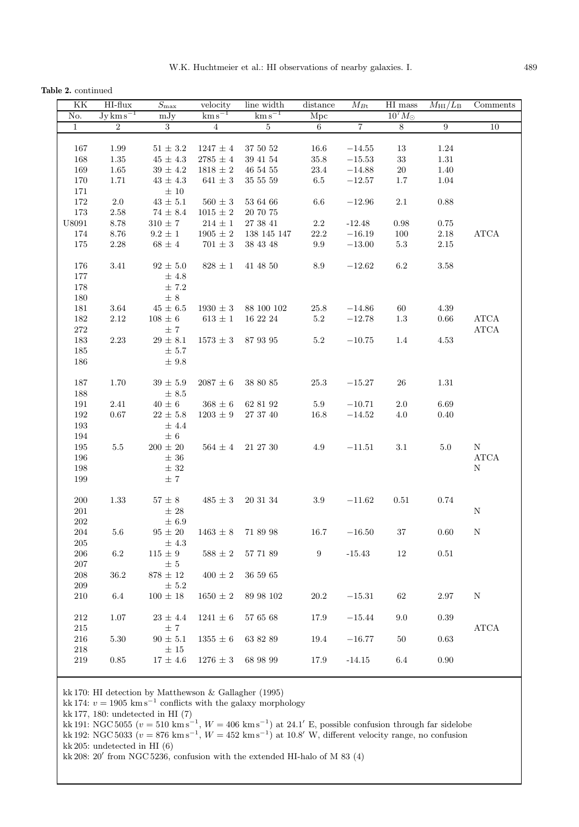**Table 2.** continued

| KK            | HI-flux                            | $\overline{S}_{\max}$ | velocity              | line width            | distance                | $M_{Bt}$       | $\overline{\rm HI}$ mass | $M_{\rm HI}/L_{\rm B}$ | Comments              |
|---------------|------------------------------------|-----------------------|-----------------------|-----------------------|-------------------------|----------------|--------------------------|------------------------|-----------------------|
| No.           | $Jy \, \text{km} \, \text{s}^{-1}$ | mJy                   | $\mathrm{km\,s}^{-1}$ | $\mathrm{km\,s}^{-1}$ | $\overline{\text{Mpc}}$ |                | $10^7 M_{\odot}$         |                        |                       |
| $\mathbf{1}$  | $\overline{2}$                     | $\overline{3}$        | $\overline{4}$        | $5\,$                 | $6\overline{6}$         | $\overline{7}$ | $\overline{8}$           | $\overline{9}$         | 10                    |
|               |                                    |                       |                       |                       |                         |                |                          |                        |                       |
| 167           | 1.99                               | $51 \pm 3.2$          | $1247 \pm 4$          | 37 50 52              | 16.6                    | $-14.55$       | $13\,$                   | 1.24                   |                       |
| 168           | $1.35\,$                           | $45\,\pm\,4.3$        | $2785\,\pm\,4$        | 39 41 54              | $35.8\,$                | $-15.53$       | $33\,$                   | $1.31\,$               |                       |
| 169           | $1.65\,$                           | $39\,\pm\,4.2$        | $1818 \pm 2$          | 46 54 55              | 23.4                    | $-14.88$       | 20                       | 1.40                   |                       |
| 170           | 1.71                               | $43 \pm 4.3$          | $641\,\pm\,3$         | $35\ 55\ 59$          | $6.5\,$                 | $-12.57$       | 1.7                      | 1.04                   |                       |
| 171           |                                    | $\pm$ 10              |                       |                       |                         |                |                          |                        |                       |
| 172           | $2.0\,$                            | $43 \pm 5.1$          | $560\,\pm\,3$         | 53 64 66              | 6.6                     | $-12.96$       | $2.1\,$                  | 0.88                   |                       |
| 173           | $2.58\,$                           | $74 \pm 8.4$          | $1015\,\pm\,2$        | 20 70 75              |                         |                |                          |                        |                       |
| ${\bf U}8091$ | $8.78\,$                           | $310\,\pm\,7$         | $214\,\pm\,1$         | 27 38 41              | $2.2\,$                 | $-12.48$       | 0.98                     | 0.75                   |                       |
| 174           | $8.76\,$                           | $9.2 \pm 1$           | $1905 \pm 2$          | 138 145 147           | 22.2                    | $-16.19$       | 100                      | $2.18\,$               | <b>ATCA</b>           |
| 175           | 2.28                               | $68 \pm 4$            | $701 \pm 3$           | 38 43 48              | $\rm 9.9$               | $-13.00$       | 5.3                      | 2.15                   |                       |
|               |                                    |                       |                       |                       |                         |                |                          |                        |                       |
| 176           | 3.41                               | $92 \pm 5.0$          | $828 \pm 1$           | 41 48 50              | 8.9                     | $-12.62$       | $6.2\,$                  | 3.58                   |                       |
| 177           |                                    | ±4.8                  |                       |                       |                         |                |                          |                        |                       |
| 178           |                                    | $\pm 7.2$             |                       |                       |                         |                |                          |                        |                       |
| 180           |                                    | $\pm 8$               |                       |                       |                         |                |                          |                        |                       |
| 181           | $3.64\,$                           | $45\,\pm\,6.5$        | $1930\,\pm\,3$        | 88 100 102            | 25.8                    | $-14.86$       | 60                       | 4.39                   |                       |
| 182           | $2.12\,$                           | $108\,\pm\,6$         | $613\,\pm\,1$         | 16 22 24              | 5.2                     | $-12.78$       | $1.3\,$                  | 0.66                   | ATCA                  |
| $272\,$       |                                    | ±7                    |                       |                       |                         |                |                          |                        | $\operatorname{ATCA}$ |
| 183           | 2.23                               | $29\,\pm\,8.1$        | $1573 \pm 3$          | 87 93 95              | $5.2\,$                 | $-10.75$       | 1.4                      | 4.53                   |                       |
| 185           |                                    | ± 5.7                 |                       |                       |                         |                |                          |                        |                       |
|               |                                    |                       |                       |                       |                         |                |                          |                        |                       |
| 186           |                                    | $\pm$ 9.8             |                       |                       |                         |                |                          |                        |                       |
|               |                                    |                       |                       |                       |                         |                |                          |                        |                       |
| 187           | 1.70                               | $39 \pm 5.9$          | $2087 \pm 6$          | 38 80 85              | 25.3                    | $-15.27$       | 26                       | 1.31                   |                       |
| 188           |                                    | $\pm$ 8.5             |                       |                       |                         |                |                          |                        |                       |
| 191           | $2.41\,$                           | $40\,\pm\,6$          | $368\,\pm\,6$         | 62 81 92              | 5.9                     | $-10.71$       | $2.0\,$                  | 6.69                   |                       |
| 192           | 0.67                               | $22 \pm 5.8$          | $1203 \pm 9$          | $27\ 37\ 40$          | 16.8                    | $-14.52$       | 4.0                      | 0.40                   |                       |
| 193           |                                    | $±$ 4.4               |                       |                       |                         |                |                          |                        |                       |
| 194           |                                    | $\pm$ 6               |                       |                       |                         |                |                          |                        |                       |
| 195           | $5.5\,$                            | $200\,\pm\,20$        | $564 \pm 4$           | 21 27 30              | 4.9                     | $-11.51$       | 3.1                      | $5.0\,$                | N                     |
| 196           |                                    | $\pm$ 36              |                       |                       |                         |                |                          |                        | ATCA                  |
| 198           |                                    | $\pm$ 32              |                       |                       |                         |                |                          |                        | ${\bf N}$             |
| 199           |                                    | $\pm 7$               |                       |                       |                         |                |                          |                        |                       |
|               |                                    |                       |                       |                       |                         |                |                          |                        |                       |
| 200           | 1.33                               | $57\pm8$              | $485 \pm 3$           | 20 31 34              | $3.9\,$                 | $-11.62$       | 0.51                     | 0.74                   |                       |
| $201\,$       |                                    | $\pm$ 28              |                       |                       |                         |                |                          |                        | $\mathbf N$           |
| $202\,$       |                                    | ± 6.9                 |                       |                       |                         |                |                          |                        |                       |
| 204           | 5.6                                | $95 \pm 20$           | $1463 \pm 8$          | 71 89 98              | 16.7                    | $-16.50$       | 37                       | 0.60                   | Ν                     |
| 205           |                                    | $\pm$ 4.3             |                       |                       |                         |                |                          |                        |                       |
| $\,206$       | 6.2                                | $115 \pm 9$           | $588\,\pm\,2$         | 57 71 89              | 9                       | $-15.43$       | 12                       | 0.51                   |                       |
| $207\,$       |                                    | $\pm$ 5               |                       |                       |                         |                |                          |                        |                       |
| 208           | 36.2                               | $878\,\pm\,12$        | $400 \pm 2$           | 36 59 65              |                         |                |                          |                        |                       |
| 209           |                                    | $\pm 5.2$             |                       |                       |                         |                |                          |                        |                       |
| $210\,$       | 6.4                                | $100 \pm 18$          | $1650 \pm 2$          | 89 98 102             | 20.2                    | $-15.31$       | 62                       | 2.97                   | N                     |
|               |                                    |                       |                       |                       |                         |                |                          |                        |                       |
| $212\,$       | 1.07                               | $23\,\pm\,4.4$        | $1241\,\pm\,6$        | 57 65 68              | 17.9                    | $-15.44$       | 9.0                      | 0.39                   |                       |
| 215           |                                    | ±7                    |                       |                       |                         |                |                          |                        | $\operatorname{ATCA}$ |
| 216           | 5.30                               | $90 \pm 5.1$          | $1355 \pm 6$          | 63 82 89              | 19.4                    | $-16.77$       | 50                       | 0.63                   |                       |
| 218           |                                    | $\pm 15$              |                       |                       |                         |                |                          |                        |                       |
| 219           | 0.85                               | $17 \pm 4.6$          | $1276 \pm 3$          | 68 98 99              | 17.9                    | $-14.15$       | 6.4                      | 0.90                   |                       |
|               |                                    |                       |                       |                       |                         |                |                          |                        |                       |
|               |                                    |                       |                       |                       |                         |                |                          |                        |                       |

kk 170: HI detection by Matthewson & Gallagher (1995)

kk 174:  $v = 1905$  km s<sup>-1</sup> conflicts with the galaxy morphology

kk 177, 180: undetected in HI (7)

kk 191: NGC 5055 ( $v = 510 \text{ km s}^{-1}$ ,  $W = 406 \text{ km s}^{-1}$ ) at 24.1' E, possible confusion through far sidelobe kk 192: NGC 5033 ( $v = 876 \text{ km s}^{-1}$ ,  $W = 452 \text{ km s}^{-1}$ ) at 10.8' W, different velocity range, no confusion kk 205: undetected in HI (6)

kk 208: 20' from NGC 5236, confusion with the extended HI-halo of M 83 (4)